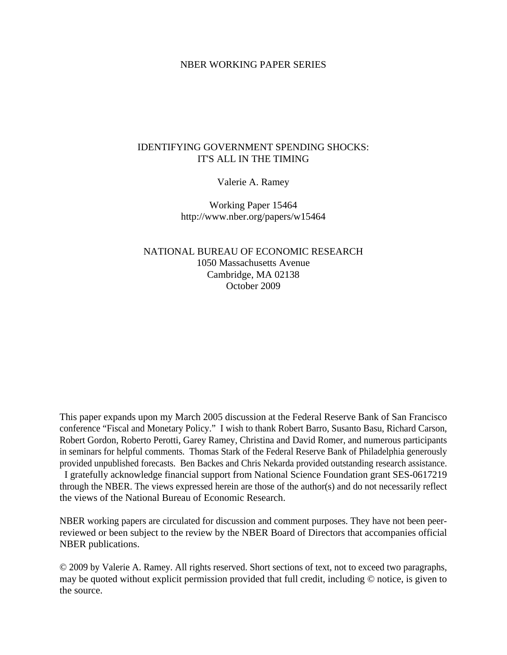#### NBER WORKING PAPER SERIES

# IDENTIFYING GOVERNMENT SPENDING SHOCKS: IT'S ALL IN THE TIMING

Valerie A. Ramey

Working Paper 15464 http://www.nber.org/papers/w15464

NATIONAL BUREAU OF ECONOMIC RESEARCH 1050 Massachusetts Avenue Cambridge, MA 02138 October 2009

This paper expands upon my March 2005 discussion at the Federal Reserve Bank of San Francisco conference "Fiscal and Monetary Policy." I wish to thank Robert Barro, Susanto Basu, Richard Carson, Robert Gordon, Roberto Perotti, Garey Ramey, Christina and David Romer, and numerous participants in seminars for helpful comments. Thomas Stark of the Federal Reserve Bank of Philadelphia generously provided unpublished forecasts. Ben Backes and Chris Nekarda provided outstanding research assistance. I gratefully acknowledge financial support from National Science Foundation grant SES-0617219 through the NBER. The views expressed herein are those of the author(s) and do not necessarily reflect the views of the National Bureau of Economic Research.

NBER working papers are circulated for discussion and comment purposes. They have not been peerreviewed or been subject to the review by the NBER Board of Directors that accompanies official NBER publications.

© 2009 by Valerie A. Ramey. All rights reserved. Short sections of text, not to exceed two paragraphs, may be quoted without explicit permission provided that full credit, including © notice, is given to the source.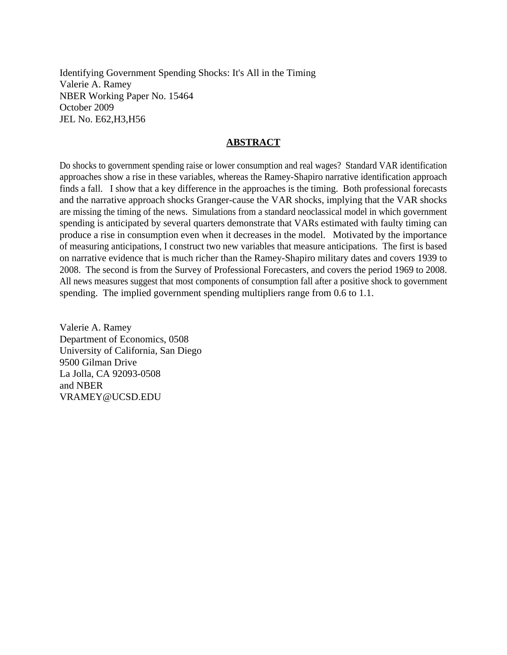Identifying Government Spending Shocks: It's All in the Timing Valerie A. Ramey NBER Working Paper No. 15464 October 2009 JEL No. E62,H3,H56

#### **ABSTRACT**

Do shocks to government spending raise or lower consumption and real wages? Standard VAR identification approaches show a rise in these variables, whereas the Ramey-Shapiro narrative identification approach finds a fall. I show that a key difference in the approaches is the timing. Both professional forecasts and the narrative approach shocks Granger-cause the VAR shocks, implying that the VAR shocks are missing the timing of the news. Simulations from a standard neoclassical model in which government spending is anticipated by several quarters demonstrate that VARs estimated with faulty timing can produce a rise in consumption even when it decreases in the model. Motivated by the importance of measuring anticipations, I construct two new variables that measure anticipations. The first is based on narrative evidence that is much richer than the Ramey-Shapiro military dates and covers 1939 to 2008. The second is from the Survey of Professional Forecasters, and covers the period 1969 to 2008. All news measures suggest that most components of consumption fall after a positive shock to government spending. The implied government spending multipliers range from 0.6 to 1.1.

Valerie A. Ramey Department of Economics, 0508 University of California, San Diego 9500 Gilman Drive La Jolla, CA 92093-0508 and NBER VRAMEY@UCSD.EDU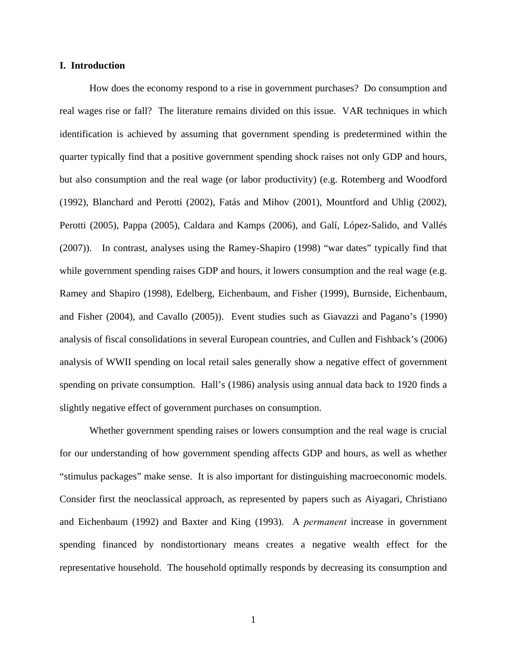#### **I. Introduction**

 How does the economy respond to a rise in government purchases? Do consumption and real wages rise or fall? The literature remains divided on this issue. VAR techniques in which identification is achieved by assuming that government spending is predetermined within the quarter typically find that a positive government spending shock raises not only GDP and hours, but also consumption and the real wage (or labor productivity) (e.g. Rotemberg and Woodford (1992), Blanchard and Perotti (2002), Fatás and Mihov (2001), Mountford and Uhlig (2002), Perotti (2005), Pappa (2005), Caldara and Kamps (2006), and Galí, López-Salido, and Vallés (2007)). In contrast, analyses using the Ramey-Shapiro (1998) "war dates" typically find that while government spending raises GDP and hours, it lowers consumption and the real wage (e.g. Ramey and Shapiro (1998), Edelberg, Eichenbaum, and Fisher (1999), Burnside, Eichenbaum, and Fisher (2004), and Cavallo (2005)). Event studies such as Giavazzi and Pagano's (1990) analysis of fiscal consolidations in several European countries, and Cullen and Fishback's (2006) analysis of WWII spending on local retail sales generally show a negative effect of government spending on private consumption. Hall's (1986) analysis using annual data back to 1920 finds a slightly negative effect of government purchases on consumption.

 Whether government spending raises or lowers consumption and the real wage is crucial for our understanding of how government spending affects GDP and hours, as well as whether "stimulus packages" make sense. It is also important for distinguishing macroeconomic models. Consider first the neoclassical approach, as represented by papers such as Aiyagari, Christiano and Eichenbaum (1992) and Baxter and King (1993). A *permanent* increase in government spending financed by nondistortionary means creates a negative wealth effect for the representative household. The household optimally responds by decreasing its consumption and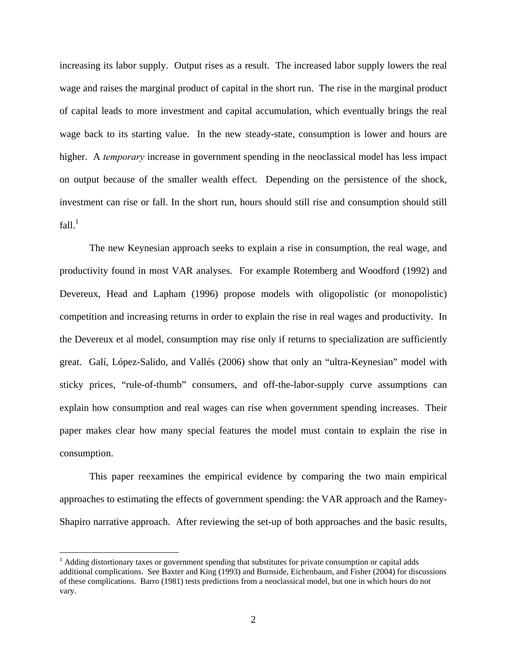increasing its labor supply. Output rises as a result. The increased labor supply lowers the real wage and raises the marginal product of capital in the short run. The rise in the marginal product of capital leads to more investment and capital accumulation, which eventually brings the real wage back to its starting value. In the new steady-state, consumption is lower and hours are higher. A *temporary* increase in government spending in the neoclassical model has less impact on output because of the smaller wealth effect. Depending on the persistence of the shock, investment can rise or fall. In the short run, hours should still rise and consumption should still  $fall.<sup>1</sup>$ 

The new Keynesian approach seeks to explain a rise in consumption, the real wage, and productivity found in most VAR analyses. For example Rotemberg and Woodford (1992) and Devereux, Head and Lapham (1996) propose models with oligopolistic (or monopolistic) competition and increasing returns in order to explain the rise in real wages and productivity. In the Devereux et al model, consumption may rise only if returns to specialization are sufficiently great. Galí, López-Salido, and Vallés (2006) show that only an "ultra-Keynesian" model with sticky prices, "rule-of-thumb" consumers, and off-the-labor-supply curve assumptions can explain how consumption and real wages can rise when government spending increases. Their paper makes clear how many special features the model must contain to explain the rise in consumption.

This paper reexamines the empirical evidence by comparing the two main empirical approaches to estimating the effects of government spending: the VAR approach and the Ramey-Shapiro narrative approach. After reviewing the set-up of both approaches and the basic results,

 $\overline{a}$ 

<sup>&</sup>lt;sup>1</sup> Adding distortionary taxes or government spending that substitutes for private consumption or capital adds additional complications. See Baxter and King (1993) and Burnside, Eichenbaum, and Fisher (2004) for discussions of these complications. Barro (1981) tests predictions from a neoclassical model, but one in which hours do not vary.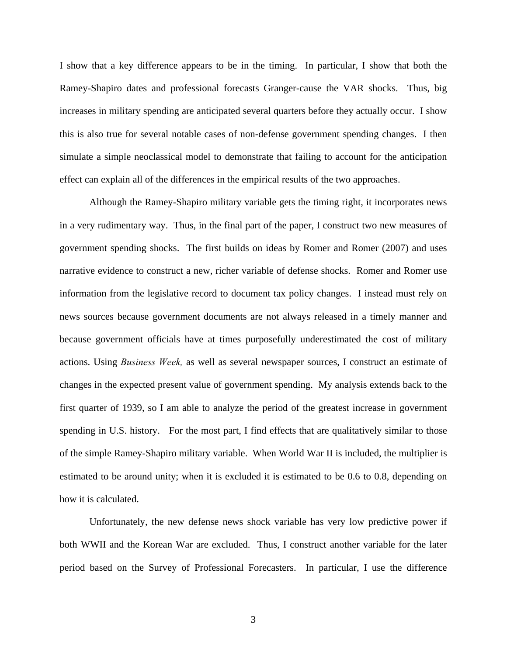I show that a key difference appears to be in the timing. In particular, I show that both the Ramey-Shapiro dates and professional forecasts Granger-cause the VAR shocks. Thus, big increases in military spending are anticipated several quarters before they actually occur. I show this is also true for several notable cases of non-defense government spending changes. I then simulate a simple neoclassical model to demonstrate that failing to account for the anticipation effect can explain all of the differences in the empirical results of the two approaches.

 Although the Ramey-Shapiro military variable gets the timing right, it incorporates news in a very rudimentary way. Thus, in the final part of the paper, I construct two new measures of government spending shocks. The first builds on ideas by Romer and Romer (2007) and uses narrative evidence to construct a new, richer variable of defense shocks. Romer and Romer use information from the legislative record to document tax policy changes. I instead must rely on news sources because government documents are not always released in a timely manner and because government officials have at times purposefully underestimated the cost of military actions. Using *Business Week,* as well as several newspaper sources, I construct an estimate of changes in the expected present value of government spending. My analysis extends back to the first quarter of 1939, so I am able to analyze the period of the greatest increase in government spending in U.S. history. For the most part, I find effects that are qualitatively similar to those of the simple Ramey-Shapiro military variable. When World War II is included, the multiplier is estimated to be around unity; when it is excluded it is estimated to be 0.6 to 0.8, depending on how it is calculated.

 Unfortunately, the new defense news shock variable has very low predictive power if both WWII and the Korean War are excluded. Thus, I construct another variable for the later period based on the Survey of Professional Forecasters. In particular, I use the difference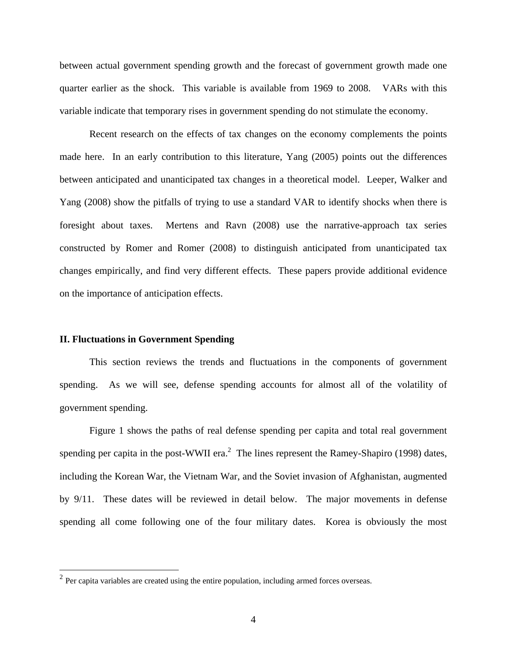between actual government spending growth and the forecast of government growth made one quarter earlier as the shock. This variable is available from 1969 to 2008. VARs with this variable indicate that temporary rises in government spending do not stimulate the economy.

 Recent research on the effects of tax changes on the economy complements the points made here. In an early contribution to this literature, Yang (2005) points out the differences between anticipated and unanticipated tax changes in a theoretical model. Leeper, Walker and Yang (2008) show the pitfalls of trying to use a standard VAR to identify shocks when there is foresight about taxes. Mertens and Ravn (2008) use the narrative-approach tax series constructed by Romer and Romer (2008) to distinguish anticipated from unanticipated tax changes empirically, and find very different effects. These papers provide additional evidence on the importance of anticipation effects.

#### **II. Fluctuations in Government Spending**

 $\overline{a}$ 

 This section reviews the trends and fluctuations in the components of government spending. As we will see, defense spending accounts for almost all of the volatility of government spending.

Figure 1 shows the paths of real defense spending per capita and total real government spending per capita in the post-WWII era.<sup>2</sup> The lines represent the Ramey-Shapiro (1998) dates, including the Korean War, the Vietnam War, and the Soviet invasion of Afghanistan, augmented by 9/11. These dates will be reviewed in detail below. The major movements in defense spending all come following one of the four military dates. Korea is obviously the most

 $2^{2}$  Per capita variables are created using the entire population, including armed forces overseas.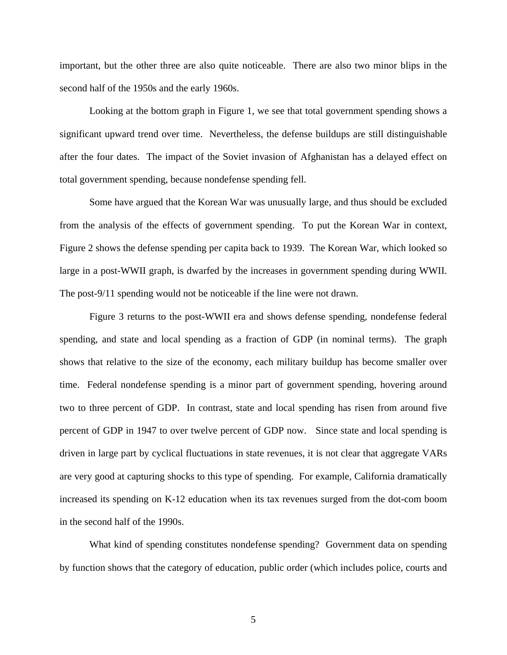important, but the other three are also quite noticeable. There are also two minor blips in the second half of the 1950s and the early 1960s.

 Looking at the bottom graph in Figure 1, we see that total government spending shows a significant upward trend over time. Nevertheless, the defense buildups are still distinguishable after the four dates. The impact of the Soviet invasion of Afghanistan has a delayed effect on total government spending, because nondefense spending fell.

 Some have argued that the Korean War was unusually large, and thus should be excluded from the analysis of the effects of government spending. To put the Korean War in context, Figure 2 shows the defense spending per capita back to 1939. The Korean War, which looked so large in a post-WWII graph, is dwarfed by the increases in government spending during WWII. The post-9/11 spending would not be noticeable if the line were not drawn.

 Figure 3 returns to the post-WWII era and shows defense spending, nondefense federal spending, and state and local spending as a fraction of GDP (in nominal terms). The graph shows that relative to the size of the economy, each military buildup has become smaller over time. Federal nondefense spending is a minor part of government spending, hovering around two to three percent of GDP. In contrast, state and local spending has risen from around five percent of GDP in 1947 to over twelve percent of GDP now. Since state and local spending is driven in large part by cyclical fluctuations in state revenues, it is not clear that aggregate VARs are very good at capturing shocks to this type of spending. For example, California dramatically increased its spending on K-12 education when its tax revenues surged from the dot-com boom in the second half of the 1990s.

 What kind of spending constitutes nondefense spending? Government data on spending by function shows that the category of education, public order (which includes police, courts and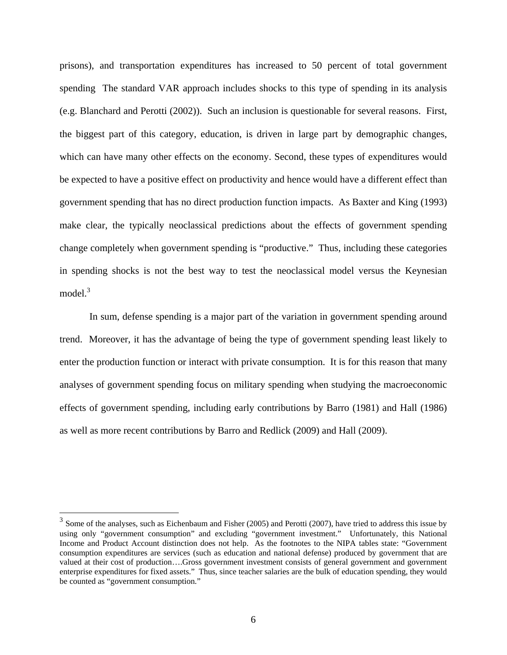prisons), and transportation expenditures has increased to 50 percent of total government spending The standard VAR approach includes shocks to this type of spending in its analysis (e.g. Blanchard and Perotti (2002)). Such an inclusion is questionable for several reasons. First, the biggest part of this category, education, is driven in large part by demographic changes, which can have many other effects on the economy. Second, these types of expenditures would be expected to have a positive effect on productivity and hence would have a different effect than government spending that has no direct production function impacts. As Baxter and King (1993) make clear, the typically neoclassical predictions about the effects of government spending change completely when government spending is "productive." Thus, including these categories in spending shocks is not the best way to test the neoclassical model versus the Keynesian model.<sup>3</sup>

In sum, defense spending is a major part of the variation in government spending around trend. Moreover, it has the advantage of being the type of government spending least likely to enter the production function or interact with private consumption. It is for this reason that many analyses of government spending focus on military spending when studying the macroeconomic effects of government spending, including early contributions by Barro (1981) and Hall (1986) as well as more recent contributions by Barro and Redlick (2009) and Hall (2009).

 $\overline{a}$ 

 $3$  Some of the analyses, such as Eichenbaum and Fisher (2005) and Perotti (2007), have tried to address this issue by using only "government consumption" and excluding "government investment." Unfortunately, this National Income and Product Account distinction does not help. As the footnotes to the NIPA tables state: "Government consumption expenditures are services (such as education and national defense) produced by government that are valued at their cost of production….Gross government investment consists of general government and government enterprise expenditures for fixed assets." Thus, since teacher salaries are the bulk of education spending, they would be counted as "government consumption."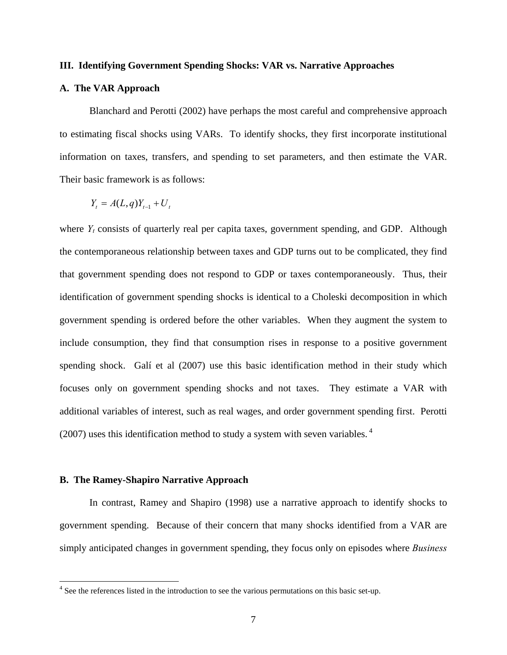#### **III. Identifying Government Spending Shocks: VAR vs. Narrative Approaches**

#### **A. The VAR Approach**

Blanchard and Perotti (2002) have perhaps the most careful and comprehensive approach to estimating fiscal shocks using VARs. To identify shocks, they first incorporate institutional information on taxes, transfers, and spending to set parameters, and then estimate the VAR. Their basic framework is as follows:

$$
Y_t = A(L,q)Y_{t-1} + U_t
$$

where  $Y_t$  consists of quarterly real per capita taxes, government spending, and GDP. Although the contemporaneous relationship between taxes and GDP turns out to be complicated, they find that government spending does not respond to GDP or taxes contemporaneously. Thus, their identification of government spending shocks is identical to a Choleski decomposition in which government spending is ordered before the other variables. When they augment the system to include consumption, they find that consumption rises in response to a positive government spending shock. Galí et al (2007) use this basic identification method in their study which focuses only on government spending shocks and not taxes. They estimate a VAR with additional variables of interest, such as real wages, and order government spending first. Perotti (2007) uses this identification method to study a system with seven variables.<sup>4</sup>

#### **B. The Ramey-Shapiro Narrative Approach**

 $\overline{a}$ 

 In contrast, Ramey and Shapiro (1998) use a narrative approach to identify shocks to government spending. Because of their concern that many shocks identified from a VAR are simply anticipated changes in government spending, they focus only on episodes where *Business* 

<sup>&</sup>lt;sup>4</sup> See the references listed in the introduction to see the various permutations on this basic set-up.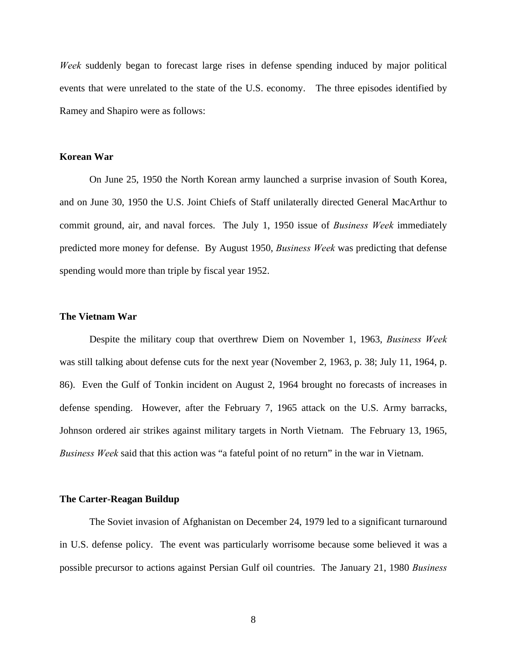*Week* suddenly began to forecast large rises in defense spending induced by major political events that were unrelated to the state of the U.S. economy. The three episodes identified by Ramey and Shapiro were as follows:

#### **Korean War**

On June 25, 1950 the North Korean army launched a surprise invasion of South Korea, and on June 30, 1950 the U.S. Joint Chiefs of Staff unilaterally directed General MacArthur to commit ground, air, and naval forces. The July 1, 1950 issue of *Business Week* immediately predicted more money for defense. By August 1950, *Business Week* was predicting that defense spending would more than triple by fiscal year 1952.

#### **The Vietnam War**

 Despite the military coup that overthrew Diem on November 1, 1963, *Business Week* was still talking about defense cuts for the next year (November 2, 1963, p. 38; July 11, 1964, p. 86). Even the Gulf of Tonkin incident on August 2, 1964 brought no forecasts of increases in defense spending. However, after the February 7, 1965 attack on the U.S. Army barracks, Johnson ordered air strikes against military targets in North Vietnam. The February 13, 1965, *Business Week* said that this action was "a fateful point of no return" in the war in Vietnam.

#### **The Carter-Reagan Buildup**

 The Soviet invasion of Afghanistan on December 24, 1979 led to a significant turnaround in U.S. defense policy. The event was particularly worrisome because some believed it was a possible precursor to actions against Persian Gulf oil countries. The January 21, 1980 *Business*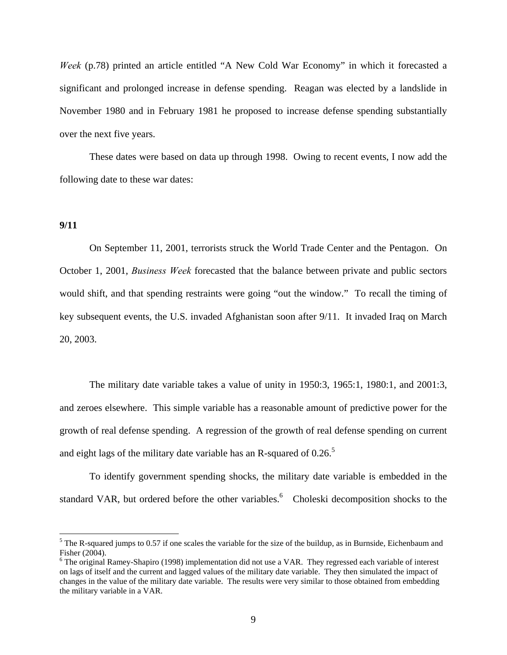*Week* (p.78) printed an article entitled "A New Cold War Economy" in which it forecasted a significant and prolonged increase in defense spending. Reagan was elected by a landslide in November 1980 and in February 1981 he proposed to increase defense spending substantially over the next five years.

 These dates were based on data up through 1998. Owing to recent events, I now add the following date to these war dates:

#### **9/11**

 $\overline{a}$ 

 On September 11, 2001, terrorists struck the World Trade Center and the Pentagon. On October 1, 2001, *Business Week* forecasted that the balance between private and public sectors would shift, and that spending restraints were going "out the window." To recall the timing of key subsequent events, the U.S. invaded Afghanistan soon after 9/11. It invaded Iraq on March 20, 2003.

The military date variable takes a value of unity in 1950:3, 1965:1, 1980:1, and 2001:3, and zeroes elsewhere. This simple variable has a reasonable amount of predictive power for the growth of real defense spending. A regression of the growth of real defense spending on current and eight lags of the military date variable has an R-squared of  $0.26<sup>5</sup>$ 

To identify government spending shocks, the military date variable is embedded in the standard VAR, but ordered before the other variables.  $6$  Choleski decomposition shocks to the

 $<sup>5</sup>$  The R-squared jumps to 0.57 if one scales the variable for the size of the buildup, as in Burnside, Eichenbaum and</sup> Fisher (2004).

 $6$  The original Ramey-Shapiro (1998) implementation did not use a VAR. They regressed each variable of interest on lags of itself and the current and lagged values of the military date variable. They then simulated the impact of changes in the value of the military date variable. The results were very similar to those obtained from embedding the military variable in a VAR.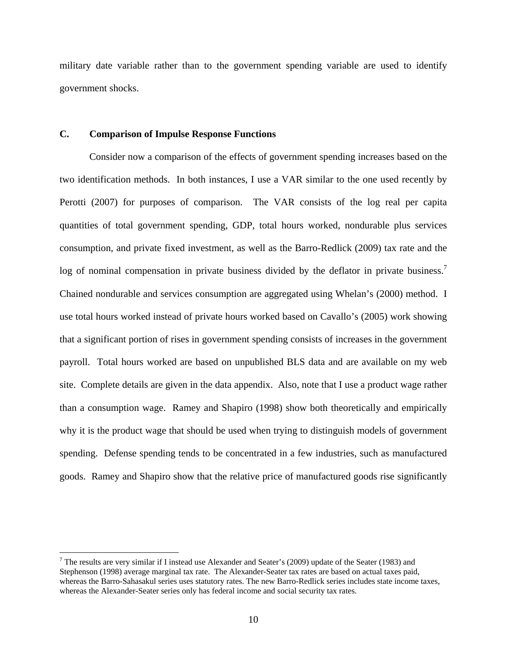military date variable rather than to the government spending variable are used to identify government shocks.

### **C. Comparison of Impulse Response Functions**

<u>.</u>

Consider now a comparison of the effects of government spending increases based on the two identification methods. In both instances, I use a VAR similar to the one used recently by Perotti (2007) for purposes of comparison. The VAR consists of the log real per capita quantities of total government spending, GDP, total hours worked, nondurable plus services consumption, and private fixed investment, as well as the Barro-Redlick (2009) tax rate and the log of nominal compensation in private business divided by the deflator in private business.<sup>7</sup> Chained nondurable and services consumption are aggregated using Whelan's (2000) method. I use total hours worked instead of private hours worked based on Cavallo's (2005) work showing that a significant portion of rises in government spending consists of increases in the government payroll. Total hours worked are based on unpublished BLS data and are available on my web site. Complete details are given in the data appendix. Also, note that I use a product wage rather than a consumption wage. Ramey and Shapiro (1998) show both theoretically and empirically why it is the product wage that should be used when trying to distinguish models of government spending. Defense spending tends to be concentrated in a few industries, such as manufactured goods. Ramey and Shapiro show that the relative price of manufactured goods rise significantly

<sup>&</sup>lt;sup>7</sup> The results are very similar if I instead use Alexander and Seater's (2009) update of the Seater (1983) and Stephenson (1998) average marginal tax rate. The Alexander-Seater tax rates are based on actual taxes paid, whereas the Barro-Sahasakul series uses statutory rates. The new Barro-Redlick series includes state income taxes, whereas the Alexander-Seater series only has federal income and social security tax rates.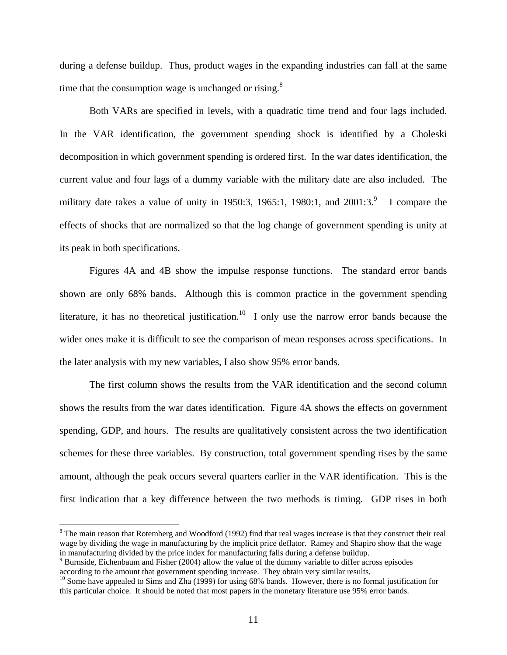during a defense buildup. Thus, product wages in the expanding industries can fall at the same time that the consumption wage is unchanged or rising. $8$ 

Both VARs are specified in levels, with a quadratic time trend and four lags included. In the VAR identification, the government spending shock is identified by a Choleski decomposition in which government spending is ordered first. In the war dates identification, the current value and four lags of a dummy variable with the military date are also included. The military date takes a value of unity in 1950:3, 1965:1, 1980:1, and  $2001:3$ <sup>9</sup> I compare the effects of shocks that are normalized so that the log change of government spending is unity at its peak in both specifications.

 Figures 4A and 4B show the impulse response functions. The standard error bands shown are only 68% bands. Although this is common practice in the government spending literature, it has no theoretical justification.<sup>10</sup> I only use the narrow error bands because the wider ones make it is difficult to see the comparison of mean responses across specifications. In the later analysis with my new variables, I also show 95% error bands.

The first column shows the results from the VAR identification and the second column shows the results from the war dates identification. Figure 4A shows the effects on government spending, GDP, and hours. The results are qualitatively consistent across the two identification schemes for these three variables. By construction, total government spending rises by the same amount, although the peak occurs several quarters earlier in the VAR identification. This is the first indication that a key difference between the two methods is timing. GDP rises in both

 $\overline{a}$ 

 $8$  The main reason that Rotemberg and Woodford (1992) find that real wages increase is that they construct their real wage by dividing the wage in manufacturing by the implicit price deflator. Ramey and Shapiro show that the wage in manufacturing divided by the price index for manufacturing falls during a defense buildup.

<sup>&</sup>lt;sup>9</sup> Burnside, Eichenbaum and Fisher (2004) allow the value of the dummy variable to differ across episodes according to the amount that government spending increase. They obtain very similar results.<br><sup>10</sup> Some have appealed to Sims and Zha (1999) for using 68% bands. However, there is no formal justification for

this particular choice. It should be noted that most papers in the monetary literature use 95% error bands.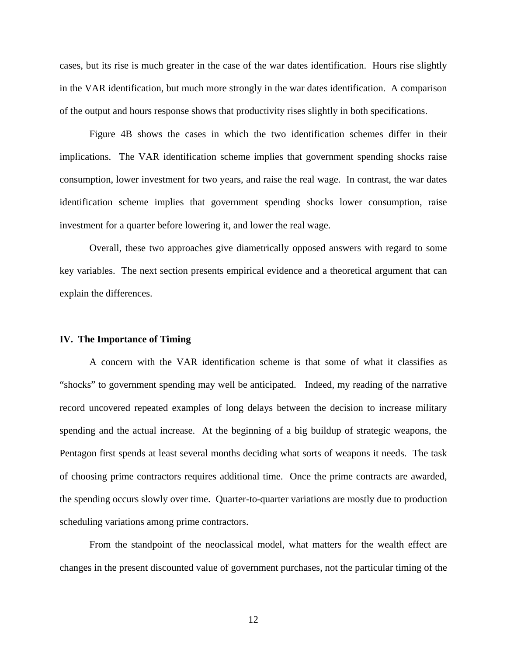cases, but its rise is much greater in the case of the war dates identification. Hours rise slightly in the VAR identification, but much more strongly in the war dates identification. A comparison of the output and hours response shows that productivity rises slightly in both specifications.

 Figure 4B shows the cases in which the two identification schemes differ in their implications. The VAR identification scheme implies that government spending shocks raise consumption, lower investment for two years, and raise the real wage. In contrast, the war dates identification scheme implies that government spending shocks lower consumption, raise investment for a quarter before lowering it, and lower the real wage.

 Overall, these two approaches give diametrically opposed answers with regard to some key variables. The next section presents empirical evidence and a theoretical argument that can explain the differences.

#### **IV. The Importance of Timing**

 A concern with the VAR identification scheme is that some of what it classifies as "shocks" to government spending may well be anticipated. Indeed, my reading of the narrative record uncovered repeated examples of long delays between the decision to increase military spending and the actual increase. At the beginning of a big buildup of strategic weapons, the Pentagon first spends at least several months deciding what sorts of weapons it needs. The task of choosing prime contractors requires additional time. Once the prime contracts are awarded, the spending occurs slowly over time. Quarter-to-quarter variations are mostly due to production scheduling variations among prime contractors.

 From the standpoint of the neoclassical model, what matters for the wealth effect are changes in the present discounted value of government purchases, not the particular timing of the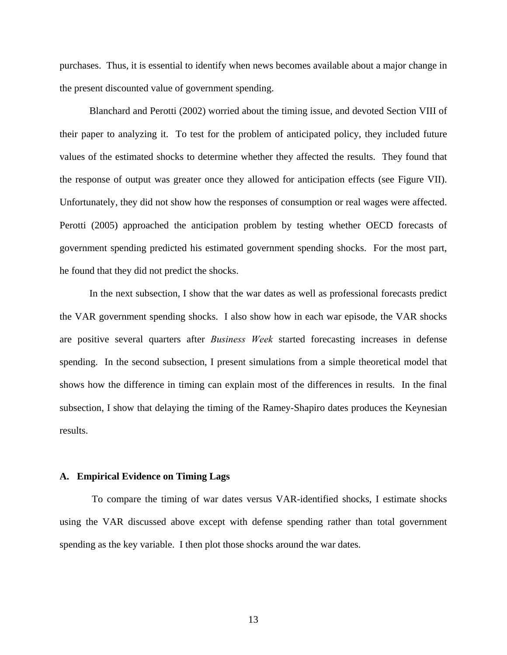purchases. Thus, it is essential to identify when news becomes available about a major change in the present discounted value of government spending.

Blanchard and Perotti (2002) worried about the timing issue, and devoted Section VIII of their paper to analyzing it. To test for the problem of anticipated policy, they included future values of the estimated shocks to determine whether they affected the results. They found that the response of output was greater once they allowed for anticipation effects (see Figure VII). Unfortunately, they did not show how the responses of consumption or real wages were affected. Perotti (2005) approached the anticipation problem by testing whether OECD forecasts of government spending predicted his estimated government spending shocks. For the most part, he found that they did not predict the shocks.

 In the next subsection, I show that the war dates as well as professional forecasts predict the VAR government spending shocks. I also show how in each war episode, the VAR shocks are positive several quarters after *Business Week* started forecasting increases in defense spending. In the second subsection, I present simulations from a simple theoretical model that shows how the difference in timing can explain most of the differences in results. In the final subsection, I show that delaying the timing of the Ramey-Shapiro dates produces the Keynesian results.

#### **A. Empirical Evidence on Timing Lags**

 To compare the timing of war dates versus VAR-identified shocks, I estimate shocks using the VAR discussed above except with defense spending rather than total government spending as the key variable. I then plot those shocks around the war dates.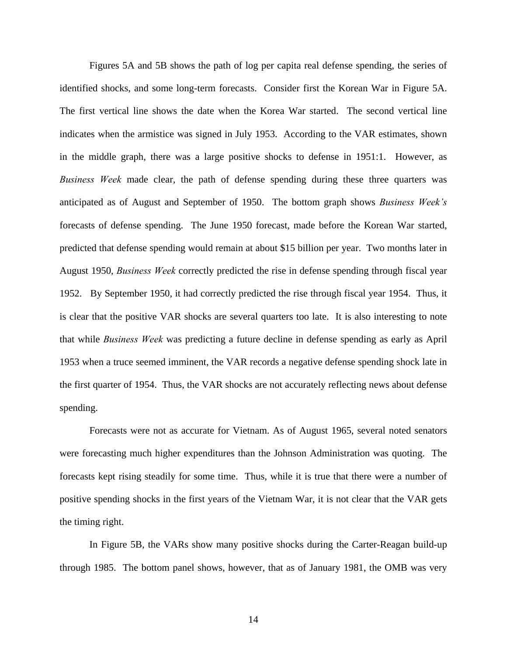Figures 5A and 5B shows the path of log per capita real defense spending, the series of identified shocks, and some long-term forecasts. Consider first the Korean War in Figure 5A. The first vertical line shows the date when the Korea War started. The second vertical line indicates when the armistice was signed in July 1953. According to the VAR estimates, shown in the middle graph, there was a large positive shocks to defense in 1951:1. However, as *Business Week* made clear, the path of defense spending during these three quarters was anticipated as of August and September of 1950. The bottom graph shows *Business Week's*  forecasts of defense spending. The June 1950 forecast, made before the Korean War started, predicted that defense spending would remain at about \$15 billion per year. Two months later in August 1950, *Business Week* correctly predicted the rise in defense spending through fiscal year 1952. By September 1950, it had correctly predicted the rise through fiscal year 1954. Thus, it is clear that the positive VAR shocks are several quarters too late. It is also interesting to note that while *Business Week* was predicting a future decline in defense spending as early as April 1953 when a truce seemed imminent, the VAR records a negative defense spending shock late in the first quarter of 1954. Thus, the VAR shocks are not accurately reflecting news about defense spending.

 Forecasts were not as accurate for Vietnam. As of August 1965, several noted senators were forecasting much higher expenditures than the Johnson Administration was quoting. The forecasts kept rising steadily for some time. Thus, while it is true that there were a number of positive spending shocks in the first years of the Vietnam War, it is not clear that the VAR gets the timing right.

In Figure 5B, the VARs show many positive shocks during the Carter-Reagan build-up through 1985. The bottom panel shows, however, that as of January 1981, the OMB was very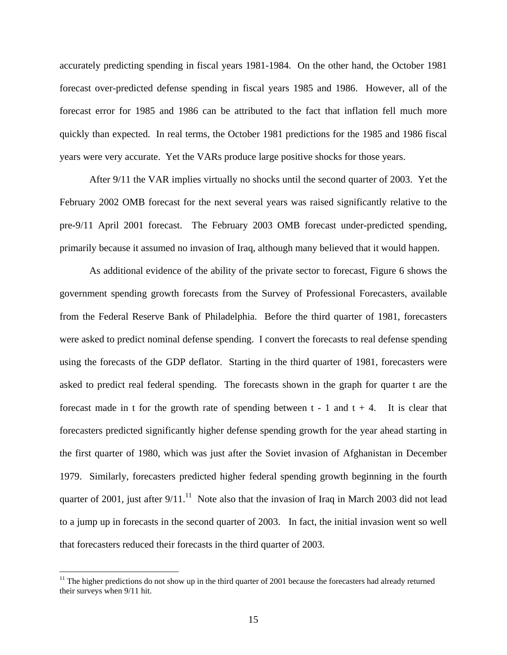accurately predicting spending in fiscal years 1981-1984. On the other hand, the October 1981 forecast over-predicted defense spending in fiscal years 1985 and 1986. However, all of the forecast error for 1985 and 1986 can be attributed to the fact that inflation fell much more quickly than expected. In real terms, the October 1981 predictions for the 1985 and 1986 fiscal years were very accurate. Yet the VARs produce large positive shocks for those years.

After 9/11 the VAR implies virtually no shocks until the second quarter of 2003. Yet the February 2002 OMB forecast for the next several years was raised significantly relative to the pre-9/11 April 2001 forecast. The February 2003 OMB forecast under-predicted spending, primarily because it assumed no invasion of Iraq, although many believed that it would happen.

As additional evidence of the ability of the private sector to forecast, Figure 6 shows the government spending growth forecasts from the Survey of Professional Forecasters, available from the Federal Reserve Bank of Philadelphia. Before the third quarter of 1981, forecasters were asked to predict nominal defense spending. I convert the forecasts to real defense spending using the forecasts of the GDP deflator. Starting in the third quarter of 1981, forecasters were asked to predict real federal spending. The forecasts shown in the graph for quarter t are the forecast made in t for the growth rate of spending between  $t - 1$  and  $t + 4$ . It is clear that forecasters predicted significantly higher defense spending growth for the year ahead starting in the first quarter of 1980, which was just after the Soviet invasion of Afghanistan in December 1979. Similarly, forecasters predicted higher federal spending growth beginning in the fourth quarter of 2001, just after  $9/11$ .<sup>11</sup> Note also that the invasion of Iraq in March 2003 did not lead to a jump up in forecasts in the second quarter of 2003. In fact, the initial invasion went so well that forecasters reduced their forecasts in the third quarter of 2003.

 $\overline{a}$ 

 $11$  The higher predictions do not show up in the third quarter of 2001 because the forecasters had already returned their surveys when 9/11 hit.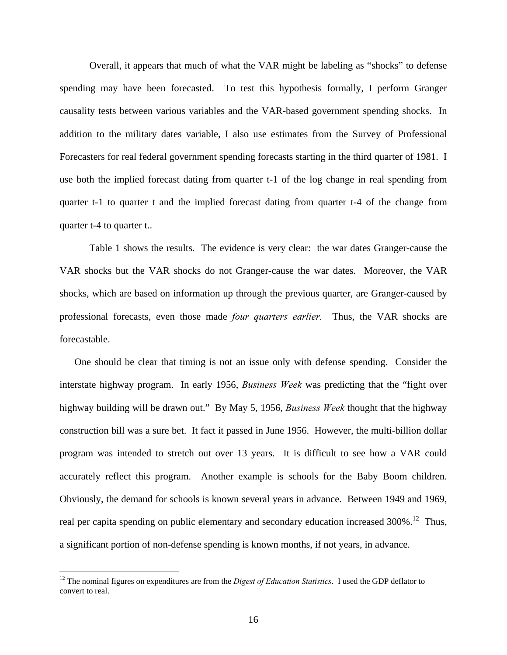Overall, it appears that much of what the VAR might be labeling as "shocks" to defense spending may have been forecasted. To test this hypothesis formally, I perform Granger causality tests between various variables and the VAR-based government spending shocks. In addition to the military dates variable, I also use estimates from the Survey of Professional Forecasters for real federal government spending forecasts starting in the third quarter of 1981. I use both the implied forecast dating from quarter t-1 of the log change in real spending from quarter t-1 to quarter t and the implied forecast dating from quarter t-4 of the change from quarter t-4 to quarter t..

Table 1 shows the results. The evidence is very clear: the war dates Granger-cause the VAR shocks but the VAR shocks do not Granger-cause the war dates. Moreover, the VAR shocks, which are based on information up through the previous quarter, are Granger-caused by professional forecasts, even those made *four quarters earlier.* Thus, the VAR shocks are forecastable.

One should be clear that timing is not an issue only with defense spending. Consider the interstate highway program. In early 1956, *Business Week* was predicting that the "fight over highway building will be drawn out." By May 5, 1956, *Business Week* thought that the highway construction bill was a sure bet. It fact it passed in June 1956. However, the multi-billion dollar program was intended to stretch out over 13 years. It is difficult to see how a VAR could accurately reflect this program. Another example is schools for the Baby Boom children. Obviously, the demand for schools is known several years in advance. Between 1949 and 1969, real per capita spending on public elementary and secondary education increased 300%.<sup>12</sup> Thus, a significant portion of non-defense spending is known months, if not years, in advance.

1

<sup>&</sup>lt;sup>12</sup> The nominal figures on expenditures are from the *Digest of Education Statistics*. I used the GDP deflator to convert to real.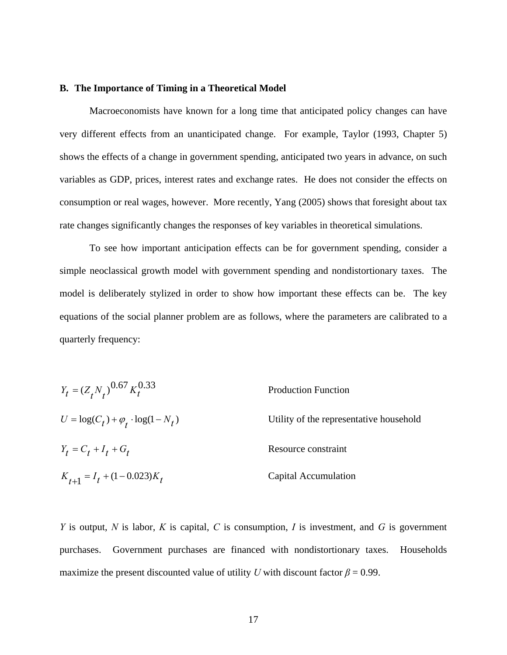#### **B. The Importance of Timing in a Theoretical Model**

 Macroeconomists have known for a long time that anticipated policy changes can have very different effects from an unanticipated change. For example, Taylor (1993, Chapter 5) shows the effects of a change in government spending, anticipated two years in advance, on such variables as GDP, prices, interest rates and exchange rates. He does not consider the effects on consumption or real wages, however. More recently, Yang (2005) shows that foresight about tax rate changes significantly changes the responses of key variables in theoretical simulations.

To see how important anticipation effects can be for government spending, consider a simple neoclassical growth model with government spending and nondistortionary taxes. The model is deliberately stylized in order to show how important these effects can be. The key equations of the social planner problem are as follows, where the parameters are calibrated to a quarterly frequency:

| $Y_t = (Z_t N_t)^{0.67} K_t^{0.33}$             | <b>Production Function</b>              |  |
|-------------------------------------------------|-----------------------------------------|--|
| $U = \log(C_t) + \varphi_t \cdot \log(1 - N_t)$ | Utility of the representative household |  |
| $Y_t = C_t + I_t + G_t$                         | Resource constraint                     |  |
| $K_{t+1} = I_t + (1 - 0.023)K_t$                | Capital Accumulation                    |  |

*Y* is output, *N* is labor, *K* is capital, *C* is consumption, *I* is investment, and *G* is government purchases. Government purchases are financed with nondistortionary taxes. Households maximize the present discounted value of utility *U* with discount factor  $\beta = 0.99$ .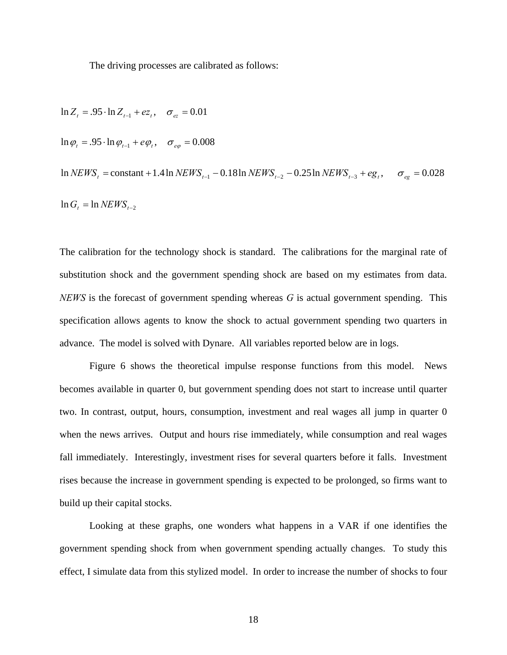The driving processes are calibrated as follows:

 $\ln G_t = \ln N EWS_{t-2}$  $\ln NEWS_t = \text{constant} + 1.4 \ln NEWS_{t-1} - 0.18 \ln NEWS_{t-2} - 0.25 \ln NEWS_{t-3} + eg_t, \quad \sigma_{eg} = 0.028$  $\ln \varphi_t = .95 \cdot \ln \varphi_{t-1} + e \varphi_t, \quad \sigma_{e\varphi} = 0.008$  $\ln Z_t = .95 \cdot \ln Z_{t-1} + ez_t, \quad \sigma_{ez} = 0.01$ 

The calibration for the technology shock is standard. The calibrations for the marginal rate of substitution shock and the government spending shock are based on my estimates from data. *NEWS* is the forecast of government spending whereas *G* is actual government spending. This specification allows agents to know the shock to actual government spending two quarters in advance. The model is solved with Dynare. All variables reported below are in logs.

 Figure 6 shows the theoretical impulse response functions from this model. News becomes available in quarter 0, but government spending does not start to increase until quarter two. In contrast, output, hours, consumption, investment and real wages all jump in quarter 0 when the news arrives. Output and hours rise immediately, while consumption and real wages fall immediately. Interestingly, investment rises for several quarters before it falls. Investment rises because the increase in government spending is expected to be prolonged, so firms want to build up their capital stocks.

 Looking at these graphs, one wonders what happens in a VAR if one identifies the government spending shock from when government spending actually changes. To study this effect, I simulate data from this stylized model. In order to increase the number of shocks to four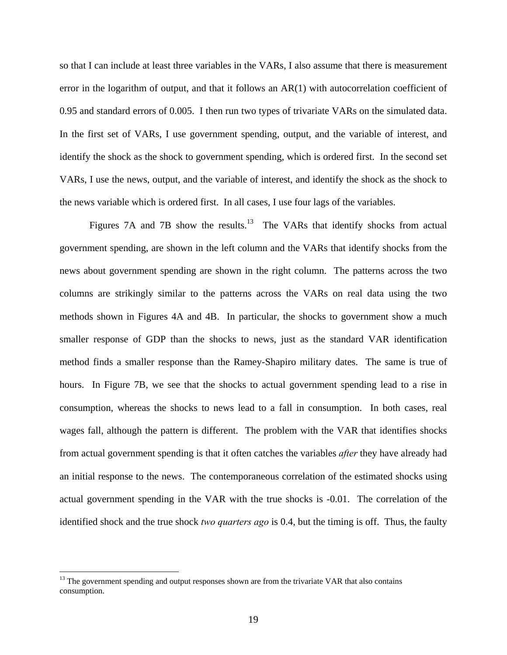so that I can include at least three variables in the VARs, I also assume that there is measurement error in the logarithm of output, and that it follows an AR(1) with autocorrelation coefficient of 0.95 and standard errors of 0.005. I then run two types of trivariate VARs on the simulated data. In the first set of VARs, I use government spending, output, and the variable of interest, and identify the shock as the shock to government spending, which is ordered first. In the second set VARs, I use the news, output, and the variable of interest, and identify the shock as the shock to the news variable which is ordered first. In all cases, I use four lags of the variables.

Figures 7A and 7B show the results.<sup>13</sup> The VARs that identify shocks from actual government spending, are shown in the left column and the VARs that identify shocks from the news about government spending are shown in the right column. The patterns across the two columns are strikingly similar to the patterns across the VARs on real data using the two methods shown in Figures 4A and 4B. In particular, the shocks to government show a much smaller response of GDP than the shocks to news, just as the standard VAR identification method finds a smaller response than the Ramey-Shapiro military dates. The same is true of hours. In Figure 7B, we see that the shocks to actual government spending lead to a rise in consumption, whereas the shocks to news lead to a fall in consumption. In both cases, real wages fall, although the pattern is different. The problem with the VAR that identifies shocks from actual government spending is that it often catches the variables *after* they have already had an initial response to the news. The contemporaneous correlation of the estimated shocks using actual government spending in the VAR with the true shocks is -0.01. The correlation of the identified shock and the true shock *two quarters ago* is 0.4, but the timing is off. Thus, the faulty

1

 $<sup>13</sup>$  The government spending and output responses shown are from the trivariate VAR that also contains</sup> consumption.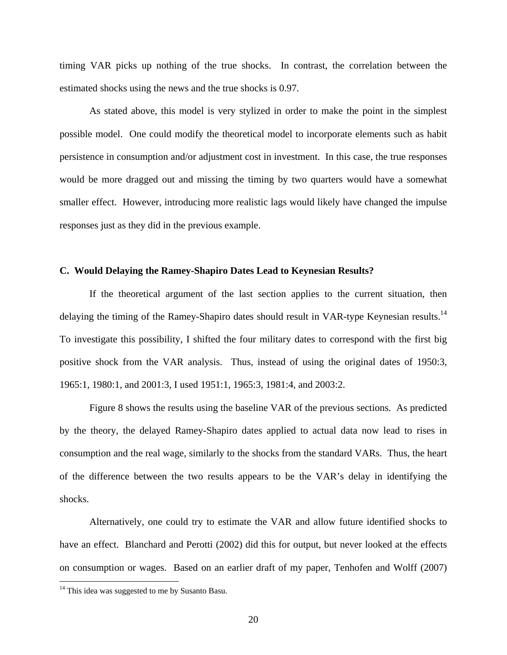timing VAR picks up nothing of the true shocks. In contrast, the correlation between the estimated shocks using the news and the true shocks is 0.97.

 As stated above, this model is very stylized in order to make the point in the simplest possible model. One could modify the theoretical model to incorporate elements such as habit persistence in consumption and/or adjustment cost in investment. In this case, the true responses would be more dragged out and missing the timing by two quarters would have a somewhat smaller effect. However, introducing more realistic lags would likely have changed the impulse responses just as they did in the previous example.

#### **C. Would Delaying the Ramey-Shapiro Dates Lead to Keynesian Results?**

If the theoretical argument of the last section applies to the current situation, then delaying the timing of the Ramey-Shapiro dates should result in VAR-type Keynesian results.<sup>14</sup> To investigate this possibility, I shifted the four military dates to correspond with the first big positive shock from the VAR analysis. Thus, instead of using the original dates of 1950:3, 1965:1, 1980:1, and 2001:3, I used 1951:1, 1965:3, 1981:4, and 2003:2.

Figure 8 shows the results using the baseline VAR of the previous sections. As predicted by the theory, the delayed Ramey-Shapiro dates applied to actual data now lead to rises in consumption and the real wage, similarly to the shocks from the standard VARs. Thus, the heart of the difference between the two results appears to be the VAR's delay in identifying the shocks.

Alternatively, one could try to estimate the VAR and allow future identified shocks to have an effect. Blanchard and Perotti (2002) did this for output, but never looked at the effects on consumption or wages. Based on an earlier draft of my paper, Tenhofen and Wolff (2007)

 $\overline{a}$ 

 $14$  This idea was suggested to me by Susanto Basu.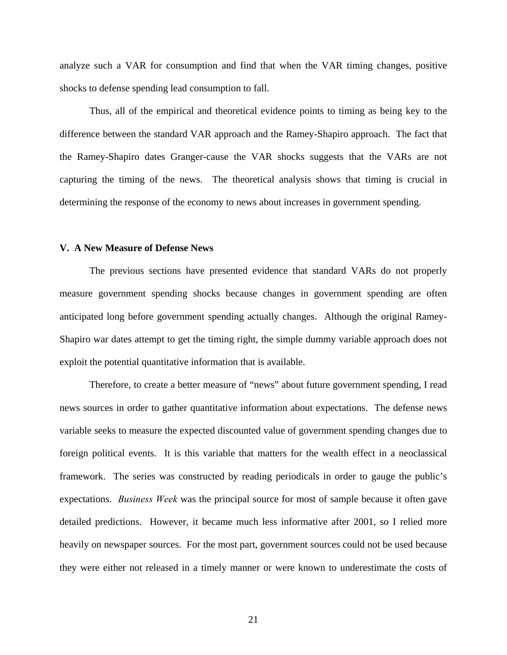analyze such a VAR for consumption and find that when the VAR timing changes, positive shocks to defense spending lead consumption to fall.

Thus, all of the empirical and theoretical evidence points to timing as being key to the difference between the standard VAR approach and the Ramey-Shapiro approach. The fact that the Ramey-Shapiro dates Granger-cause the VAR shocks suggests that the VARs are not capturing the timing of the news. The theoretical analysis shows that timing is crucial in determining the response of the economy to news about increases in government spending.

#### **V. A New Measure of Defense News**

 The previous sections have presented evidence that standard VARs do not properly measure government spending shocks because changes in government spending are often anticipated long before government spending actually changes. Although the original Ramey-Shapiro war dates attempt to get the timing right, the simple dummy variable approach does not exploit the potential quantitative information that is available.

Therefore, to create a better measure of "news" about future government spending, I read news sources in order to gather quantitative information about expectations. The defense news variable seeks to measure the expected discounted value of government spending changes due to foreign political events. It is this variable that matters for the wealth effect in a neoclassical framework. The series was constructed by reading periodicals in order to gauge the public's expectations. *Business Week* was the principal source for most of sample because it often gave detailed predictions. However, it became much less informative after 2001, so I relied more heavily on newspaper sources. For the most part, government sources could not be used because they were either not released in a timely manner or were known to underestimate the costs of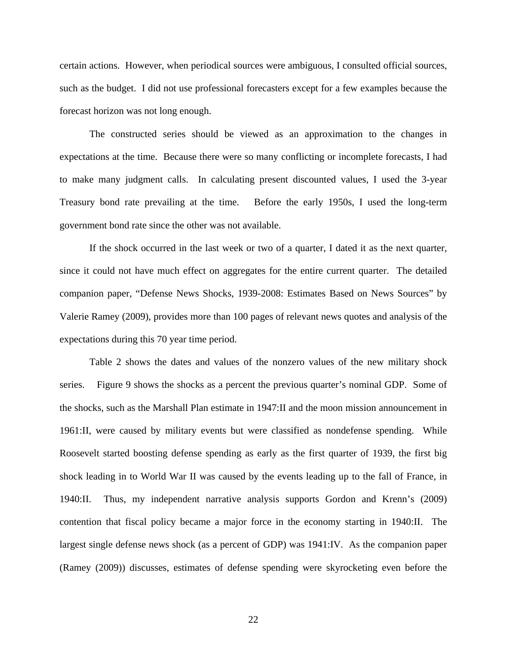certain actions. However, when periodical sources were ambiguous, I consulted official sources, such as the budget. I did not use professional forecasters except for a few examples because the forecast horizon was not long enough.

 The constructed series should be viewed as an approximation to the changes in expectations at the time. Because there were so many conflicting or incomplete forecasts, I had to make many judgment calls. In calculating present discounted values, I used the 3-year Treasury bond rate prevailing at the time. Before the early 1950s, I used the long-term government bond rate since the other was not available.

 If the shock occurred in the last week or two of a quarter, I dated it as the next quarter, since it could not have much effect on aggregates for the entire current quarter. The detailed companion paper, "Defense News Shocks, 1939-2008: Estimates Based on News Sources" by Valerie Ramey (2009), provides more than 100 pages of relevant news quotes and analysis of the expectations during this 70 year time period.

Table 2 shows the dates and values of the nonzero values of the new military shock series. Figure 9 shows the shocks as a percent the previous quarter's nominal GDP. Some of the shocks, such as the Marshall Plan estimate in 1947:II and the moon mission announcement in 1961:II, were caused by military events but were classified as nondefense spending. While Roosevelt started boosting defense spending as early as the first quarter of 1939, the first big shock leading in to World War II was caused by the events leading up to the fall of France, in 1940:II. Thus, my independent narrative analysis supports Gordon and Krenn's (2009) contention that fiscal policy became a major force in the economy starting in 1940:II. The largest single defense news shock (as a percent of GDP) was 1941:IV. As the companion paper (Ramey (2009)) discusses, estimates of defense spending were skyrocketing even before the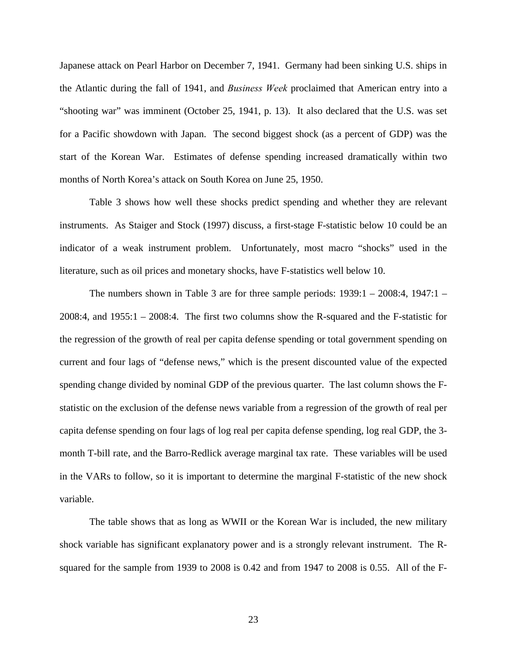Japanese attack on Pearl Harbor on December 7, 1941. Germany had been sinking U.S. ships in the Atlantic during the fall of 1941, and *Business Week* proclaimed that American entry into a "shooting war" was imminent (October 25, 1941, p. 13). It also declared that the U.S. was set for a Pacific showdown with Japan. The second biggest shock (as a percent of GDP) was the start of the Korean War. Estimates of defense spending increased dramatically within two months of North Korea's attack on South Korea on June 25, 1950.

Table 3 shows how well these shocks predict spending and whether they are relevant instruments. As Staiger and Stock (1997) discuss, a first-stage F-statistic below 10 could be an indicator of a weak instrument problem. Unfortunately, most macro "shocks" used in the literature, such as oil prices and monetary shocks, have F-statistics well below 10.

The numbers shown in Table 3 are for three sample periods: 1939:1 – 2008:4, 1947:1 – 2008:4, and 1955:1 – 2008:4. The first two columns show the R-squared and the F-statistic for the regression of the growth of real per capita defense spending or total government spending on current and four lags of "defense news," which is the present discounted value of the expected spending change divided by nominal GDP of the previous quarter. The last column shows the Fstatistic on the exclusion of the defense news variable from a regression of the growth of real per capita defense spending on four lags of log real per capita defense spending, log real GDP, the 3 month T-bill rate, and the Barro-Redlick average marginal tax rate. These variables will be used in the VARs to follow, so it is important to determine the marginal F-statistic of the new shock variable.

The table shows that as long as WWII or the Korean War is included, the new military shock variable has significant explanatory power and is a strongly relevant instrument. The Rsquared for the sample from 1939 to 2008 is 0.42 and from 1947 to 2008 is 0.55. All of the F-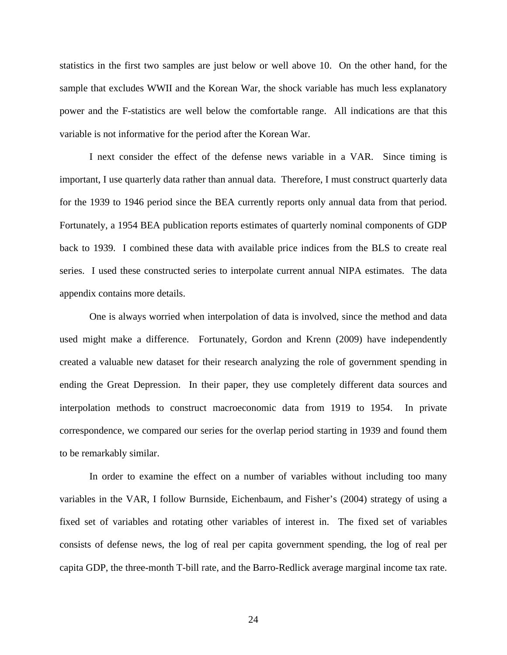statistics in the first two samples are just below or well above 10. On the other hand, for the sample that excludes WWII and the Korean War, the shock variable has much less explanatory power and the F-statistics are well below the comfortable range. All indications are that this variable is not informative for the period after the Korean War.

I next consider the effect of the defense news variable in a VAR. Since timing is important, I use quarterly data rather than annual data. Therefore, I must construct quarterly data for the 1939 to 1946 period since the BEA currently reports only annual data from that period. Fortunately, a 1954 BEA publication reports estimates of quarterly nominal components of GDP back to 1939. I combined these data with available price indices from the BLS to create real series. I used these constructed series to interpolate current annual NIPA estimates. The data appendix contains more details.

One is always worried when interpolation of data is involved, since the method and data used might make a difference. Fortunately, Gordon and Krenn (2009) have independently created a valuable new dataset for their research analyzing the role of government spending in ending the Great Depression. In their paper, they use completely different data sources and interpolation methods to construct macroeconomic data from 1919 to 1954. In private correspondence, we compared our series for the overlap period starting in 1939 and found them to be remarkably similar.

In order to examine the effect on a number of variables without including too many variables in the VAR, I follow Burnside, Eichenbaum, and Fisher's (2004) strategy of using a fixed set of variables and rotating other variables of interest in. The fixed set of variables consists of defense news, the log of real per capita government spending, the log of real per capita GDP, the three-month T-bill rate, and the Barro-Redlick average marginal income tax rate.

24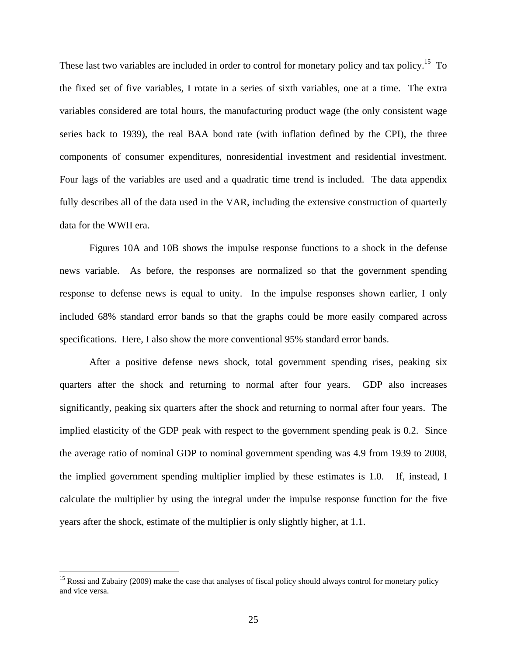These last two variables are included in order to control for monetary policy and tax policy.<sup>15</sup> To the fixed set of five variables, I rotate in a series of sixth variables, one at a time. The extra variables considered are total hours, the manufacturing product wage (the only consistent wage series back to 1939), the real BAA bond rate (with inflation defined by the CPI), the three components of consumer expenditures, nonresidential investment and residential investment. Four lags of the variables are used and a quadratic time trend is included. The data appendix fully describes all of the data used in the VAR, including the extensive construction of quarterly data for the WWII era.

Figures 10A and 10B shows the impulse response functions to a shock in the defense news variable. As before, the responses are normalized so that the government spending response to defense news is equal to unity. In the impulse responses shown earlier, I only included 68% standard error bands so that the graphs could be more easily compared across specifications. Here, I also show the more conventional 95% standard error bands.

After a positive defense news shock, total government spending rises, peaking six quarters after the shock and returning to normal after four years. GDP also increases significantly, peaking six quarters after the shock and returning to normal after four years. The implied elasticity of the GDP peak with respect to the government spending peak is 0.2. Since the average ratio of nominal GDP to nominal government spending was 4.9 from 1939 to 2008, the implied government spending multiplier implied by these estimates is 1.0. If, instead, I calculate the multiplier by using the integral under the impulse response function for the five years after the shock, estimate of the multiplier is only slightly higher, at 1.1.

1

<sup>&</sup>lt;sup>15</sup> Rossi and Zabairy (2009) make the case that analyses of fiscal policy should always control for monetary policy and vice versa.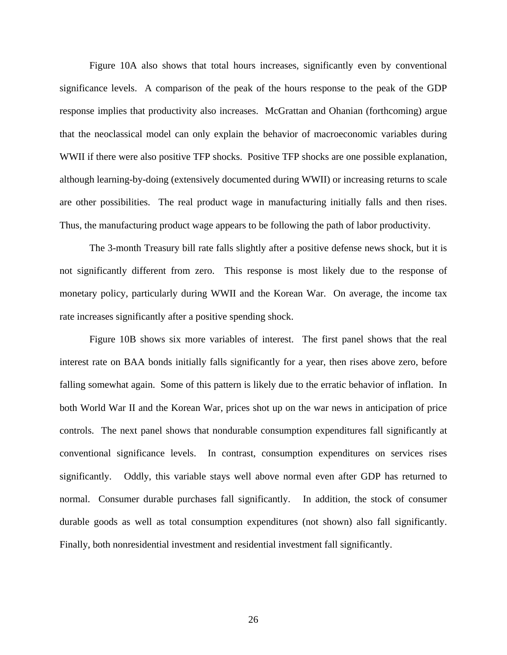Figure 10A also shows that total hours increases, significantly even by conventional significance levels. A comparison of the peak of the hours response to the peak of the GDP response implies that productivity also increases. McGrattan and Ohanian (forthcoming) argue that the neoclassical model can only explain the behavior of macroeconomic variables during WWII if there were also positive TFP shocks. Positive TFP shocks are one possible explanation, although learning-by-doing (extensively documented during WWII) or increasing returns to scale are other possibilities. The real product wage in manufacturing initially falls and then rises. Thus, the manufacturing product wage appears to be following the path of labor productivity.

The 3-month Treasury bill rate falls slightly after a positive defense news shock, but it is not significantly different from zero. This response is most likely due to the response of monetary policy, particularly during WWII and the Korean War. On average, the income tax rate increases significantly after a positive spending shock.

Figure 10B shows six more variables of interest. The first panel shows that the real interest rate on BAA bonds initially falls significantly for a year, then rises above zero, before falling somewhat again. Some of this pattern is likely due to the erratic behavior of inflation. In both World War II and the Korean War, prices shot up on the war news in anticipation of price controls. The next panel shows that nondurable consumption expenditures fall significantly at conventional significance levels. In contrast, consumption expenditures on services rises significantly. Oddly, this variable stays well above normal even after GDP has returned to normal. Consumer durable purchases fall significantly. In addition, the stock of consumer durable goods as well as total consumption expenditures (not shown) also fall significantly. Finally, both nonresidential investment and residential investment fall significantly.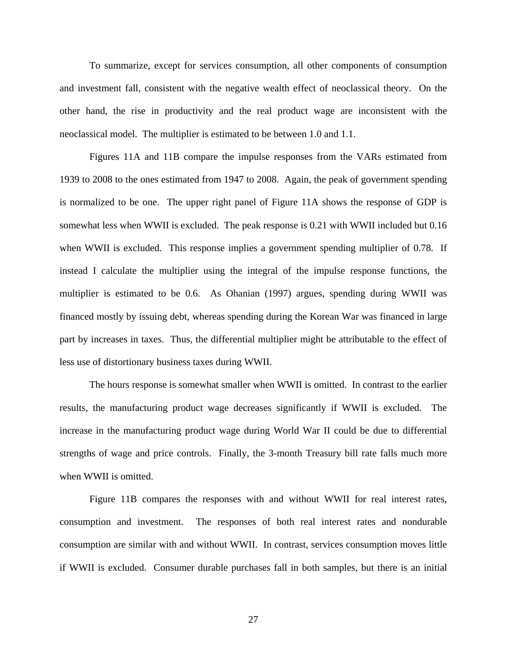To summarize, except for services consumption, all other components of consumption and investment fall, consistent with the negative wealth effect of neoclassical theory. On the other hand, the rise in productivity and the real product wage are inconsistent with the neoclassical model. The multiplier is estimated to be between 1.0 and 1.1.

Figures 11A and 11B compare the impulse responses from the VARs estimated from 1939 to 2008 to the ones estimated from 1947 to 2008. Again, the peak of government spending is normalized to be one. The upper right panel of Figure 11A shows the response of GDP is somewhat less when WWII is excluded. The peak response is 0.21 with WWII included but 0.16 when WWII is excluded. This response implies a government spending multiplier of 0.78. If instead I calculate the multiplier using the integral of the impulse response functions, the multiplier is estimated to be 0.6. As Ohanian (1997) argues, spending during WWII was financed mostly by issuing debt, whereas spending during the Korean War was financed in large part by increases in taxes. Thus, the differential multiplier might be attributable to the effect of less use of distortionary business taxes during WWII.

The hours response is somewhat smaller when WWII is omitted. In contrast to the earlier results, the manufacturing product wage decreases significantly if WWII is excluded. The increase in the manufacturing product wage during World War II could be due to differential strengths of wage and price controls. Finally, the 3-month Treasury bill rate falls much more when WWII is omitted.

Figure 11B compares the responses with and without WWII for real interest rates, consumption and investment. The responses of both real interest rates and nondurable consumption are similar with and without WWII. In contrast, services consumption moves little if WWII is excluded. Consumer durable purchases fall in both samples, but there is an initial

27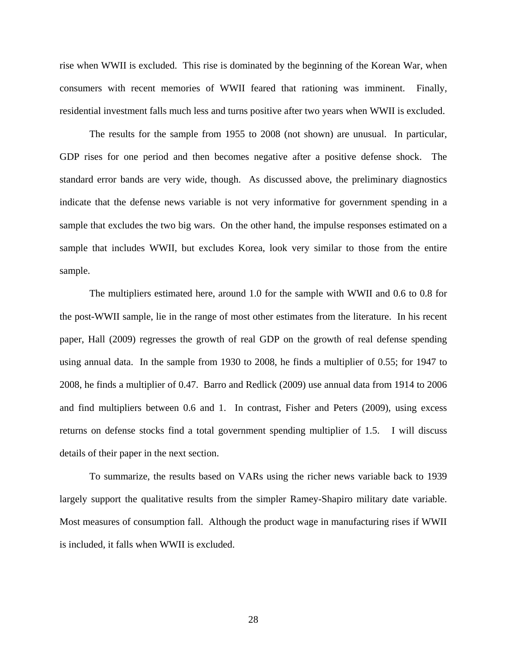rise when WWII is excluded. This rise is dominated by the beginning of the Korean War, when consumers with recent memories of WWII feared that rationing was imminent. Finally, residential investment falls much less and turns positive after two years when WWII is excluded.

The results for the sample from 1955 to 2008 (not shown) are unusual. In particular, GDP rises for one period and then becomes negative after a positive defense shock. The standard error bands are very wide, though. As discussed above, the preliminary diagnostics indicate that the defense news variable is not very informative for government spending in a sample that excludes the two big wars. On the other hand, the impulse responses estimated on a sample that includes WWII, but excludes Korea, look very similar to those from the entire sample.

The multipliers estimated here, around 1.0 for the sample with WWII and 0.6 to 0.8 for the post-WWII sample, lie in the range of most other estimates from the literature. In his recent paper, Hall (2009) regresses the growth of real GDP on the growth of real defense spending using annual data. In the sample from 1930 to 2008, he finds a multiplier of 0.55; for 1947 to 2008, he finds a multiplier of 0.47. Barro and Redlick (2009) use annual data from 1914 to 2006 and find multipliers between 0.6 and 1. In contrast, Fisher and Peters (2009), using excess returns on defense stocks find a total government spending multiplier of 1.5. I will discuss details of their paper in the next section.

To summarize, the results based on VARs using the richer news variable back to 1939 largely support the qualitative results from the simpler Ramey-Shapiro military date variable. Most measures of consumption fall. Although the product wage in manufacturing rises if WWII is included, it falls when WWII is excluded.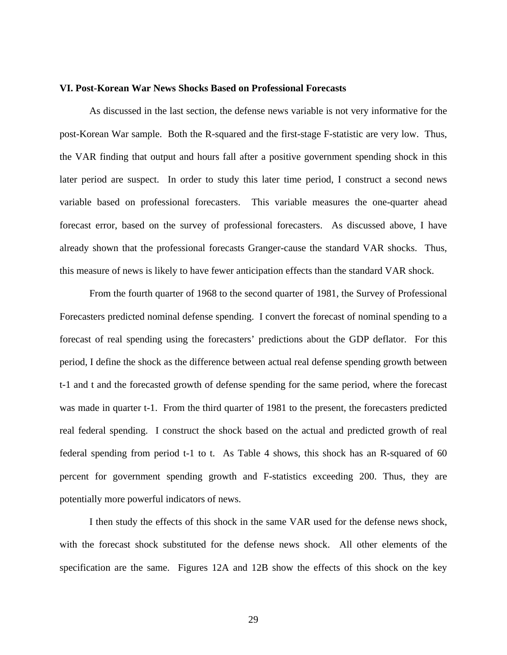#### **VI. Post-Korean War News Shocks Based on Professional Forecasts**

As discussed in the last section, the defense news variable is not very informative for the post-Korean War sample. Both the R-squared and the first-stage F-statistic are very low. Thus, the VAR finding that output and hours fall after a positive government spending shock in this later period are suspect. In order to study this later time period, I construct a second news variable based on professional forecasters. This variable measures the one-quarter ahead forecast error, based on the survey of professional forecasters. As discussed above, I have already shown that the professional forecasts Granger-cause the standard VAR shocks. Thus, this measure of news is likely to have fewer anticipation effects than the standard VAR shock.

From the fourth quarter of 1968 to the second quarter of 1981, the Survey of Professional Forecasters predicted nominal defense spending. I convert the forecast of nominal spending to a forecast of real spending using the forecasters' predictions about the GDP deflator. For this period, I define the shock as the difference between actual real defense spending growth between t-1 and t and the forecasted growth of defense spending for the same period, where the forecast was made in quarter t-1. From the third quarter of 1981 to the present, the forecasters predicted real federal spending. I construct the shock based on the actual and predicted growth of real federal spending from period t-1 to t. As Table 4 shows, this shock has an R-squared of 60 percent for government spending growth and F-statistics exceeding 200. Thus, they are potentially more powerful indicators of news.

I then study the effects of this shock in the same VAR used for the defense news shock, with the forecast shock substituted for the defense news shock. All other elements of the specification are the same. Figures 12A and 12B show the effects of this shock on the key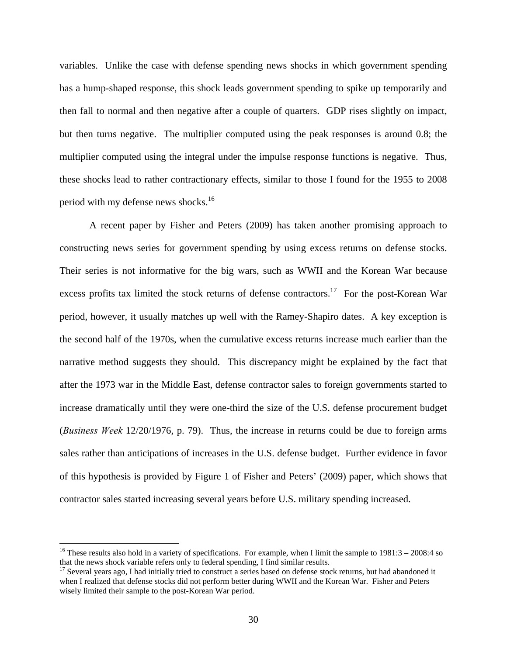variables. Unlike the case with defense spending news shocks in which government spending has a hump-shaped response, this shock leads government spending to spike up temporarily and then fall to normal and then negative after a couple of quarters. GDP rises slightly on impact, but then turns negative. The multiplier computed using the peak responses is around 0.8; the multiplier computed using the integral under the impulse response functions is negative. Thus, these shocks lead to rather contractionary effects, similar to those I found for the 1955 to 2008 period with my defense news shocks.<sup>16</sup>

A recent paper by Fisher and Peters (2009) has taken another promising approach to constructing news series for government spending by using excess returns on defense stocks. Their series is not informative for the big wars, such as WWII and the Korean War because excess profits tax limited the stock returns of defense contractors.<sup>17</sup> For the post-Korean War period, however, it usually matches up well with the Ramey-Shapiro dates. A key exception is the second half of the 1970s, when the cumulative excess returns increase much earlier than the narrative method suggests they should. This discrepancy might be explained by the fact that after the 1973 war in the Middle East, defense contractor sales to foreign governments started to increase dramatically until they were one-third the size of the U.S. defense procurement budget (*Business Week* 12/20/1976, p. 79). Thus, the increase in returns could be due to foreign arms sales rather than anticipations of increases in the U.S. defense budget. Further evidence in favor of this hypothesis is provided by Figure 1 of Fisher and Peters' (2009) paper, which shows that contractor sales started increasing several years before U.S. military spending increased.

 $\overline{a}$ 

<sup>&</sup>lt;sup>16</sup> These results also hold in a variety of specifications. For example, when I limit the sample to  $1981:3 - 2008:4$  so that the news shock variable refers only to federal spending, I find similar results.

 $17$  Several years ago, I had initially tried to construct a series based on defense stock returns, but had abandoned it when I realized that defense stocks did not perform better during WWII and the Korean War. Fisher and Peters wisely limited their sample to the post-Korean War period.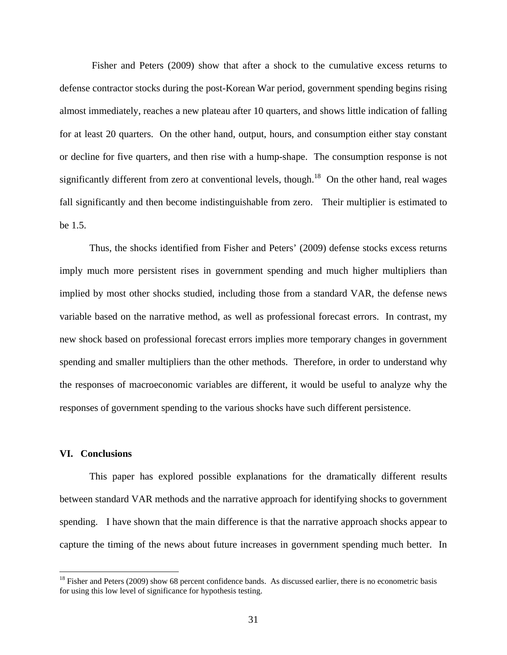Fisher and Peters (2009) show that after a shock to the cumulative excess returns to defense contractor stocks during the post-Korean War period, government spending begins rising almost immediately, reaches a new plateau after 10 quarters, and shows little indication of falling for at least 20 quarters. On the other hand, output, hours, and consumption either stay constant or decline for five quarters, and then rise with a hump-shape. The consumption response is not significantly different from zero at conventional levels, though.<sup>18</sup> On the other hand, real wages fall significantly and then become indistinguishable from zero. Their multiplier is estimated to be 1.5.

Thus, the shocks identified from Fisher and Peters' (2009) defense stocks excess returns imply much more persistent rises in government spending and much higher multipliers than implied by most other shocks studied, including those from a standard VAR, the defense news variable based on the narrative method, as well as professional forecast errors. In contrast, my new shock based on professional forecast errors implies more temporary changes in government spending and smaller multipliers than the other methods. Therefore, in order to understand why the responses of macroeconomic variables are different, it would be useful to analyze why the responses of government spending to the various shocks have such different persistence.

#### **VI. Conclusions**

 $\overline{a}$ 

This paper has explored possible explanations for the dramatically different results between standard VAR methods and the narrative approach for identifying shocks to government spending. I have shown that the main difference is that the narrative approach shocks appear to capture the timing of the news about future increases in government spending much better. In

 $18$  Fisher and Peters (2009) show 68 percent confidence bands. As discussed earlier, there is no econometric basis for using this low level of significance for hypothesis testing.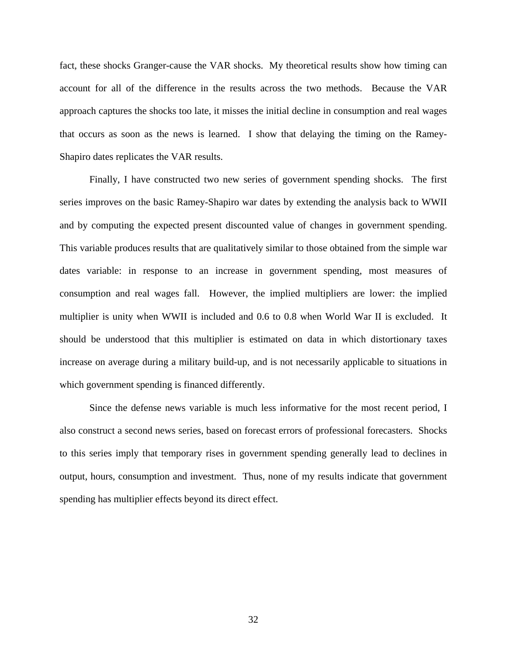fact, these shocks Granger-cause the VAR shocks. My theoretical results show how timing can account for all of the difference in the results across the two methods. Because the VAR approach captures the shocks too late, it misses the initial decline in consumption and real wages that occurs as soon as the news is learned. I show that delaying the timing on the Ramey-Shapiro dates replicates the VAR results.

Finally, I have constructed two new series of government spending shocks. The first series improves on the basic Ramey-Shapiro war dates by extending the analysis back to WWII and by computing the expected present discounted value of changes in government spending. This variable produces results that are qualitatively similar to those obtained from the simple war dates variable: in response to an increase in government spending, most measures of consumption and real wages fall. However, the implied multipliers are lower: the implied multiplier is unity when WWII is included and 0.6 to 0.8 when World War II is excluded. It should be understood that this multiplier is estimated on data in which distortionary taxes increase on average during a military build-up, and is not necessarily applicable to situations in which government spending is financed differently.

Since the defense news variable is much less informative for the most recent period, I also construct a second news series, based on forecast errors of professional forecasters. Shocks to this series imply that temporary rises in government spending generally lead to declines in output, hours, consumption and investment. Thus, none of my results indicate that government spending has multiplier effects beyond its direct effect.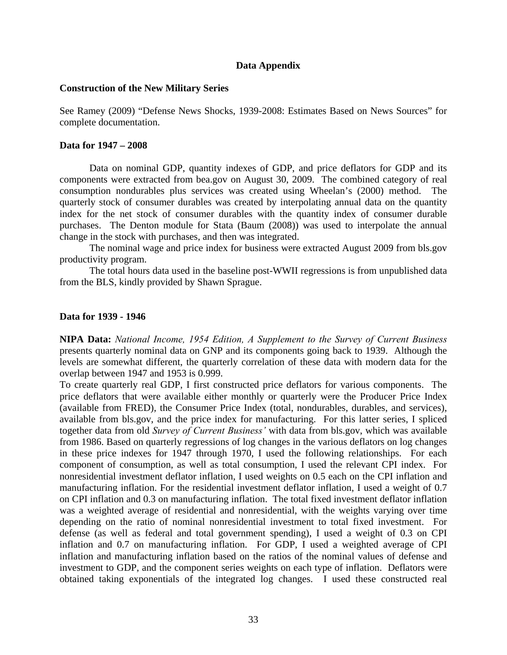#### **Data Appendix**

#### **Construction of the New Military Series**

See Ramey (2009) "Defense News Shocks, 1939-2008: Estimates Based on News Sources" for complete documentation.

#### **Data for 1947 – 2008**

Data on nominal GDP, quantity indexes of GDP, and price deflators for GDP and its components were extracted from bea.gov on August 30, 2009. The combined category of real consumption nondurables plus services was created using Wheelan's (2000) method. The quarterly stock of consumer durables was created by interpolating annual data on the quantity index for the net stock of consumer durables with the quantity index of consumer durable purchases. The Denton module for Stata (Baum (2008)) was used to interpolate the annual change in the stock with purchases, and then was integrated.

The nominal wage and price index for business were extracted August 2009 from bls.gov productivity program.

The total hours data used in the baseline post-WWII regressions is from unpublished data from the BLS, kindly provided by Shawn Sprague.

#### **Data for 1939 - 1946**

**NIPA Data:** *National Income, 1954 Edition, A Supplement to the Survey of Current Business* presents quarterly nominal data on GNP and its components going back to 1939. Although the levels are somewhat different, the quarterly correlation of these data with modern data for the overlap between 1947 and 1953 is 0.999.

To create quarterly real GDP, I first constructed price deflators for various components. The price deflators that were available either monthly or quarterly were the Producer Price Index (available from FRED), the Consumer Price Index (total, nondurables, durables, and services), available from bls.gov, and the price index for manufacturing. For this latter series, I spliced together data from old *Survey of Current Business'* with data from bls.gov, which was available from 1986. Based on quarterly regressions of log changes in the various deflators on log changes in these price indexes for 1947 through 1970, I used the following relationships. For each component of consumption, as well as total consumption, I used the relevant CPI index. For nonresidential investment deflator inflation, I used weights on 0.5 each on the CPI inflation and manufacturing inflation. For the residential investment deflator inflation, I used a weight of 0.7 on CPI inflation and 0.3 on manufacturing inflation. The total fixed investment deflator inflation was a weighted average of residential and nonresidential, with the weights varying over time depending on the ratio of nominal nonresidential investment to total fixed investment. For defense (as well as federal and total government spending), I used a weight of 0.3 on CPI inflation and 0.7 on manufacturing inflation. For GDP, I used a weighted average of CPI inflation and manufacturing inflation based on the ratios of the nominal values of defense and investment to GDP, and the component series weights on each type of inflation. Deflators were obtained taking exponentials of the integrated log changes. I used these constructed real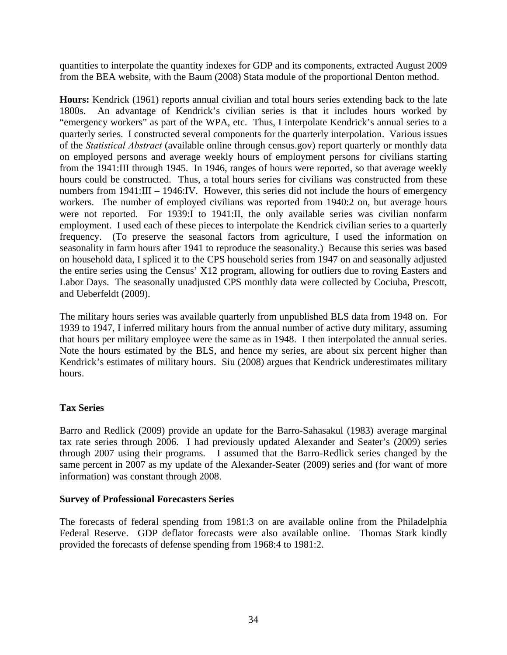quantities to interpolate the quantity indexes for GDP and its components, extracted August 2009 from the BEA website, with the Baum (2008) Stata module of the proportional Denton method.

**Hours:** Kendrick (1961) reports annual civilian and total hours series extending back to the late 1800s. An advantage of Kendrick's civilian series is that it includes hours worked by "emergency workers" as part of the WPA, etc. Thus, I interpolate Kendrick's annual series to a quarterly series. I constructed several components for the quarterly interpolation. Various issues of the *Statistical Abstract* (available online through census.gov) report quarterly or monthly data on employed persons and average weekly hours of employment persons for civilians starting from the 1941:III through 1945. In 1946, ranges of hours were reported, so that average weekly hours could be constructed. Thus, a total hours series for civilians was constructed from these numbers from 1941:III – 1946:IV. However, this series did not include the hours of emergency workers. The number of employed civilians was reported from 1940:2 on, but average hours were not reported. For 1939:I to 1941:II, the only available series was civilian nonfarm employment. I used each of these pieces to interpolate the Kendrick civilian series to a quarterly frequency. (To preserve the seasonal factors from agriculture, I used the information on seasonality in farm hours after 1941 to reproduce the seasonality.) Because this series was based on household data, I spliced it to the CPS household series from 1947 on and seasonally adjusted the entire series using the Census' X12 program, allowing for outliers due to roving Easters and Labor Days. The seasonally unadjusted CPS monthly data were collected by Cociuba, Prescott, and Ueberfeldt (2009).

The military hours series was available quarterly from unpublished BLS data from 1948 on. For 1939 to 1947, I inferred military hours from the annual number of active duty military, assuming that hours per military employee were the same as in 1948. I then interpolated the annual series. Note the hours estimated by the BLS, and hence my series, are about six percent higher than Kendrick's estimates of military hours. Siu (2008) argues that Kendrick underestimates military hours.

# **Tax Series**

Barro and Redlick (2009) provide an update for the Barro-Sahasakul (1983) average marginal tax rate series through 2006. I had previously updated Alexander and Seater's (2009) series through 2007 using their programs. I assumed that the Barro-Redlick series changed by the same percent in 2007 as my update of the Alexander-Seater (2009) series and (for want of more information) was constant through 2008.

# **Survey of Professional Forecasters Series**

The forecasts of federal spending from 1981:3 on are available online from the Philadelphia Federal Reserve. GDP deflator forecasts were also available online. Thomas Stark kindly provided the forecasts of defense spending from 1968:4 to 1981:2.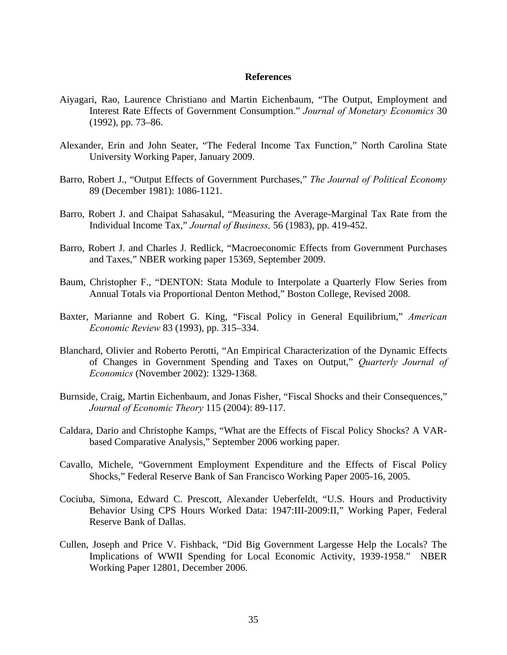#### **References**

- Aiyagari, Rao, Laurence Christiano and Martin Eichenbaum, "The Output, Employment and Interest Rate Effects of Government Consumption." *Journal of Monetary Economics* 30 (1992), pp. 73–86.
- Alexander, Erin and John Seater, "The Federal Income Tax Function," North Carolina State University Working Paper, January 2009.
- Barro, Robert J., "Output Effects of Government Purchases," *The Journal of Political Economy*  89 (December 1981): 1086-1121.
- Barro, Robert J. and Chaipat Sahasakul, "Measuring the Average-Marginal Tax Rate from the Individual Income Tax," *Journal of Business,* 56 (1983), pp. 419-452.
- Barro, Robert J. and Charles J. Redlick, "Macroeconomic Effects from Government Purchases and Taxes," NBER working paper 15369, September 2009.
- Baum, Christopher F., "DENTON: Stata Module to Interpolate a Quarterly Flow Series from Annual Totals via Proportional Denton Method," Boston College, Revised 2008.
- Baxter, Marianne and Robert G. King, "Fiscal Policy in General Equilibrium," *American Economic Review* 83 (1993), pp. 315–334.
- Blanchard, Olivier and Roberto Perotti, "An Empirical Characterization of the Dynamic Effects of Changes in Government Spending and Taxes on Output," *Quarterly Journal of Economics* (November 2002): 1329-1368.
- Burnside, Craig, Martin Eichenbaum, and Jonas Fisher, "Fiscal Shocks and their Consequences," *Journal of Economic Theory* 115 (2004): 89-117.
- Caldara, Dario and Christophe Kamps, "What are the Effects of Fiscal Policy Shocks? A VARbased Comparative Analysis," September 2006 working paper.
- Cavallo, Michele, "Government Employment Expenditure and the Effects of Fiscal Policy Shocks," Federal Reserve Bank of San Francisco Working Paper 2005-16, 2005.
- Cociuba, Simona, Edward C. Prescott, Alexander Ueberfeldt, "U.S. Hours and Productivity Behavior Using CPS Hours Worked Data: 1947:III-2009:II," Working Paper, Federal Reserve Bank of Dallas.
- Cullen, Joseph and Price V. Fishback, "Did Big Government Largesse Help the Locals? The Implications of WWII Spending for Local Economic Activity, 1939-1958." NBER Working Paper 12801, December 2006.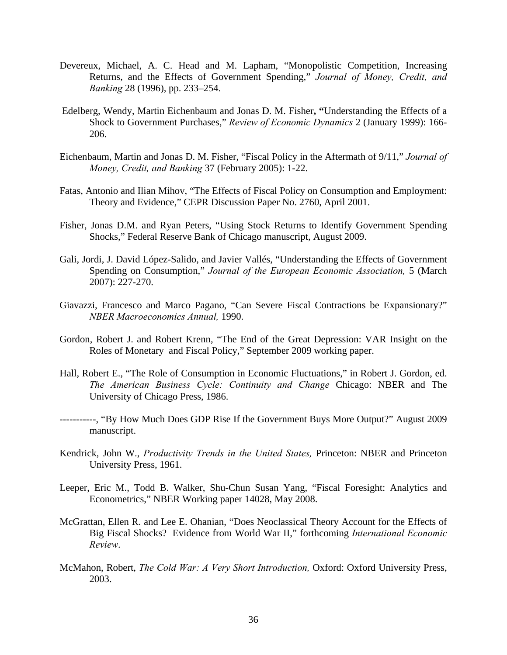- Devereux, Michael, A. C. Head and M. Lapham, "Monopolistic Competition, Increasing Returns, and the Effects of Government Spending," *Journal of Money, Credit, and Banking* 28 (1996), pp. 233–254.
- Edelberg, Wendy, Martin Eichenbaum and Jonas D. M. Fisher**, "**Understanding the Effects of a Shock to Government Purchases," *Review of Economic Dynamics* 2 (January 1999): 166- 206.
- Eichenbaum, Martin and Jonas D. M. Fisher, "Fiscal Policy in the Aftermath of 9/11," *Journal of Money, Credit, and Banking* 37 (February 2005): 1-22.
- Fatas, Antonio and Ilian Mihov, "The Effects of Fiscal Policy on Consumption and Employment: Theory and Evidence," CEPR Discussion Paper No. 2760, April 2001.
- Fisher, Jonas D.M. and Ryan Peters, "Using Stock Returns to Identify Government Spending Shocks," Federal Reserve Bank of Chicago manuscript, August 2009.
- Gali, Jordi, J. David López-Salido, and Javier Vallés, "Understanding the Effects of Government Spending on Consumption," *Journal of the European Economic Association,* 5 (March 2007): 227-270.
- Giavazzi, Francesco and Marco Pagano, "Can Severe Fiscal Contractions be Expansionary?" *NBER Macroeconomics Annual,* 1990.
- Gordon, Robert J. and Robert Krenn, "The End of the Great Depression: VAR Insight on the Roles of Monetary and Fiscal Policy," September 2009 working paper.
- Hall, Robert E., "The Role of Consumption in Economic Fluctuations," in Robert J. Gordon, ed. *The American Business Cycle: Continuity and Change* Chicago: NBER and The University of Chicago Press, 1986.
- -----------, "By How Much Does GDP Rise If the Government Buys More Output?" August 2009 manuscript.
- Kendrick, John W., *Productivity Trends in the United States,* Princeton: NBER and Princeton University Press, 1961.
- Leeper, Eric M., Todd B. Walker, Shu-Chun Susan Yang, "Fiscal Foresight: Analytics and Econometrics," NBER Working paper 14028, May 2008.
- McGrattan, Ellen R. and Lee E. Ohanian, "Does Neoclassical Theory Account for the Effects of Big Fiscal Shocks? Evidence from World War II," forthcoming *International Economic Review*.
- McMahon, Robert, *The Cold War: A Very Short Introduction,* Oxford: Oxford University Press, 2003.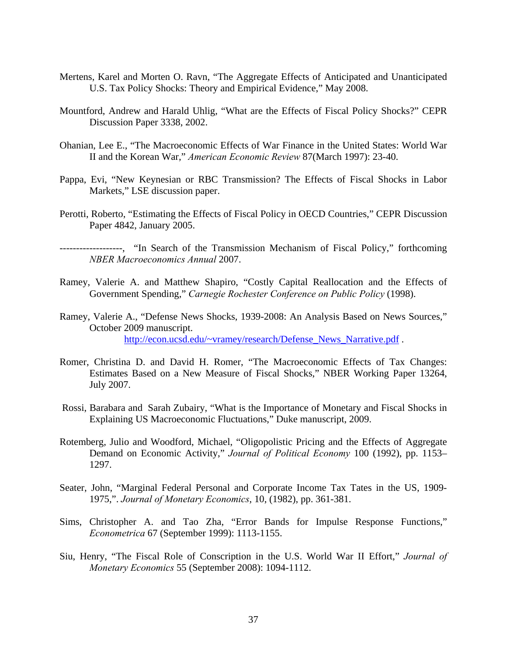- Mertens, Karel and Morten O. Ravn, "The Aggregate Effects of Anticipated and Unanticipated U.S. Tax Policy Shocks: Theory and Empirical Evidence," May 2008.
- Mountford, Andrew and Harald Uhlig, "What are the Effects of Fiscal Policy Shocks?" CEPR Discussion Paper 3338, 2002.
- Ohanian, Lee E., "The Macroeconomic Effects of War Finance in the United States: World War II and the Korean War," *American Economic Review* 87(March 1997): 23-40.
- Pappa, Evi, "New Keynesian or RBC Transmission? The Effects of Fiscal Shocks in Labor Markets," LSE discussion paper.
- Perotti, Roberto, "Estimating the Effects of Fiscal Policy in OECD Countries," CEPR Discussion Paper 4842, January 2005.

-------------------, "In Search of the Transmission Mechanism of Fiscal Policy," forthcoming *NBER Macroeconomics Annual* 2007.

- Ramey, Valerie A. and Matthew Shapiro, "Costly Capital Reallocation and the Effects of Government Spending," *Carnegie Rochester Conference on Public Policy* (1998).
- Ramey, Valerie A., "Defense News Shocks, 1939-2008: An Analysis Based on News Sources," October 2009 manuscript. http://econ.ucsd.edu/~vramey/research/Defense\_News\_Narrative.pdf .
- Romer, Christina D. and David H. Romer, "The Macroeconomic Effects of Tax Changes: Estimates Based on a New Measure of Fiscal Shocks," NBER Working Paper 13264, July 2007.
- Rossi, Barabara and Sarah Zubairy, "What is the Importance of Monetary and Fiscal Shocks in Explaining US Macroeconomic Fluctuations," Duke manuscript, 2009.
- Rotemberg, Julio and Woodford, Michael, "Oligopolistic Pricing and the Effects of Aggregate Demand on Economic Activity," *Journal of Political Economy* 100 (1992), pp. 1153– 1297.
- Seater, John, "Marginal Federal Personal and Corporate Income Tax Tates in the US, 1909- 1975,". *Journal of Monetary Economics*, 10, (1982), pp. 361-381.
- Sims, Christopher A. and Tao Zha, "Error Bands for Impulse Response Functions," *Econometrica* 67 (September 1999): 1113-1155.
- Siu, Henry, "The Fiscal Role of Conscription in the U.S. World War II Effort," *Journal of Monetary Economics* 55 (September 2008): 1094-1112.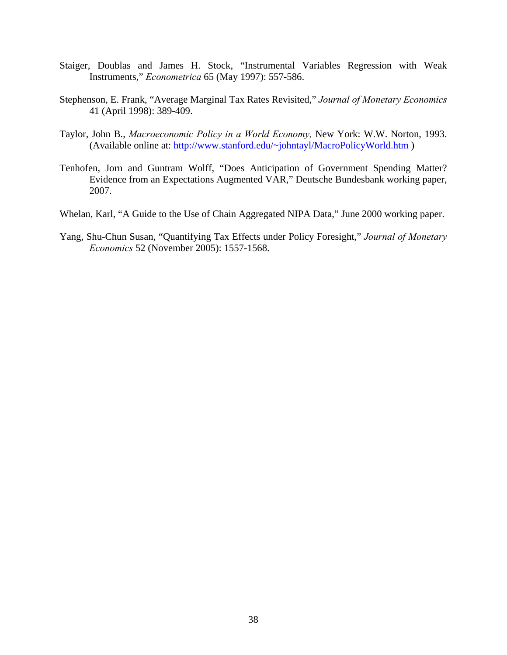- Staiger, Doublas and James H. Stock, "Instrumental Variables Regression with Weak Instruments," *Econometrica* 65 (May 1997): 557-586.
- Stephenson, E. Frank, "Average Marginal Tax Rates Revisited," *Journal of Monetary Economics*  41 (April 1998): 389-409.
- Taylor, John B., *Macroeconomic Policy in a World Economy,* New York: W.W. Norton, 1993. (Available online at: http://www.stanford.edu/~johntayl/MacroPolicyWorld.htm )
- Tenhofen, Jorn and Guntram Wolff, "Does Anticipation of Government Spending Matter? Evidence from an Expectations Augmented VAR," Deutsche Bundesbank working paper, 2007.
- Whelan, Karl, "A Guide to the Use of Chain Aggregated NIPA Data," June 2000 working paper.
- Yang, Shu-Chun Susan, "Quantifying Tax Effects under Policy Foresight," *Journal of Monetary Economics* 52 (November 2005): 1557-1568.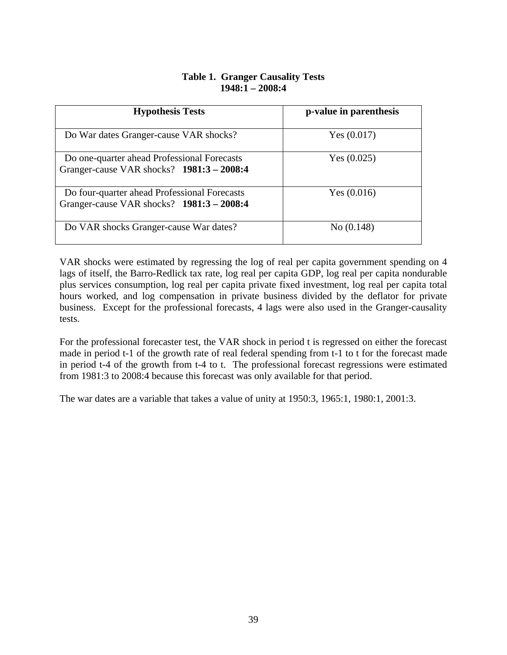# **Table 1. Granger Causality Tests 1948:1 – 2008:4**

| <b>Hypothesis Tests</b>                                                                   | p-value in parenthesis |
|-------------------------------------------------------------------------------------------|------------------------|
| Do War dates Granger-cause VAR shocks?                                                    | Yes $(0.017)$          |
| Do one-quarter ahead Professional Forecasts<br>Granger-cause VAR shocks? 1981:3 - 2008:4  | Yes $(0.025)$          |
| Do four-quarter ahead Professional Forecasts<br>Granger-cause VAR shocks? 1981:3 - 2008:4 | Yes $(0.016)$          |
| Do VAR shocks Granger-cause War dates?                                                    | No (0.148)             |

VAR shocks were estimated by regressing the log of real per capita government spending on 4 lags of itself, the Barro-Redlick tax rate, log real per capita GDP, log real per capita nondurable plus services consumption, log real per capita private fixed investment, log real per capita total hours worked, and log compensation in private business divided by the deflator for private business. Except for the professional forecasts, 4 lags were also used in the Granger-causality tests.

For the professional forecaster test, the VAR shock in period t is regressed on either the forecast made in period t-1 of the growth rate of real federal spending from t-1 to t for the forecast made in period t-4 of the growth from t-4 to t. The professional forecast regressions were estimated from 1981:3 to 2008:4 because this forecast was only available for that period.

The war dates are a variable that takes a value of unity at 1950:3, 1965:1, 1980:1, 2001:3.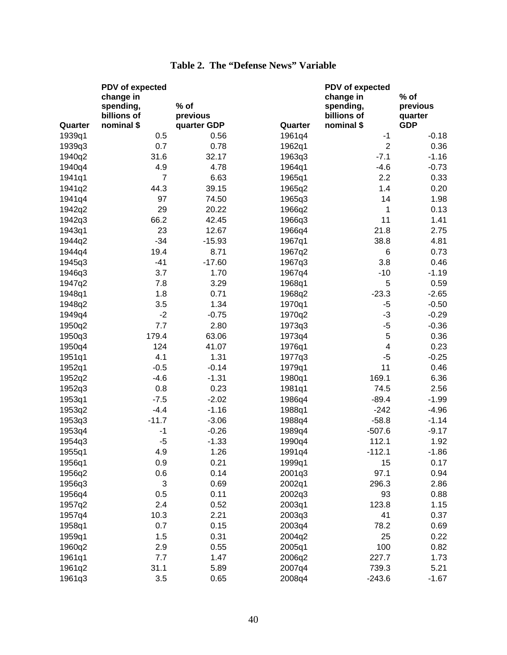|         | PDV of expected |             |         | PDV of expected         |            |
|---------|-----------------|-------------|---------|-------------------------|------------|
|         | change in       |             |         | change in               | $%$ of     |
|         | spending,       | % of        |         | spending,               | previous   |
|         | billions of     | previous    |         | billions of             | quarter    |
| Quarter | nominal \$      | quarter GDP | Quarter | nominal \$              | <b>GDP</b> |
| 1939q1  | 0.5             | 0.56        | 1961q4  | $-1$                    | $-0.18$    |
| 1939q3  | 0.7             | 0.78        | 1962q1  | $\overline{2}$          | 0.36       |
| 1940q2  | 31.6            | 32.17       | 1963q3  | $-7.1$                  | $-1.16$    |
| 1940q4  | 4.9             | 4.78        | 1964q1  | $-4.6$                  | $-0.73$    |
| 1941q1  | $\overline{7}$  | 6.63        | 1965q1  | 2.2                     | 0.33       |
| 1941q2  | 44.3            | 39.15       | 1965q2  | 1.4                     | 0.20       |
| 1941q4  | 97              | 74.50       | 1965q3  | 14                      | 1.98       |
| 1942q2  | 29              | 20.22       | 1966q2  | 1                       | 0.13       |
| 1942q3  | 66.2            | 42.45       | 1966q3  | 11                      | 1.41       |
| 1943q1  | 23              | 12.67       | 1966q4  | 21.8                    | 2.75       |
| 1944q2  | $-34$           | $-15.93$    | 1967q1  | 38.8                    | 4.81       |
| 1944q4  | 19.4            | 8.71        | 1967q2  | 6                       | 0.73       |
| 1945q3  | $-41$           | $-17.60$    | 1967q3  | 3.8                     | 0.46       |
| 1946q3  | 3.7             | 1.70        | 1967q4  | $-10$                   | $-1.19$    |
| 1947q2  | 7.8             | 3.29        | 1968q1  | 5                       | 0.59       |
| 1948q1  | 1.8             | 0.71        | 1968q2  | $-23.3$                 | $-2.65$    |
| 1948q2  | 3.5             | 1.34        | 1970q1  | $-5$                    | $-0.50$    |
| 1949q4  | $-2$            | $-0.75$     | 1970q2  | $-3$                    | $-0.29$    |
| 1950q2  | 7.7             | 2.80        | 1973q3  | $-5$                    | $-0.36$    |
| 1950q3  | 179.4           | 63.06       | 1973q4  | 5                       | 0.36       |
| 1950q4  | 124             | 41.07       | 1976q1  | $\overline{\mathbf{4}}$ | 0.23       |
| 1951q1  | 4.1             | 1.31        | 1977q3  | $-5$                    | $-0.25$    |
| 1952q1  | $-0.5$          | $-0.14$     | 1979q1  | 11                      | 0.46       |
| 1952q2  | $-4.6$          | $-1.31$     | 1980q1  | 169.1                   | 6.36       |
| 1952q3  | 0.8             | 0.23        | 1981q1  | 74.5                    | 2.56       |
| 1953q1  | $-7.5$          | $-2.02$     | 1986q4  | $-89.4$                 | $-1.99$    |
| 1953q2  | $-4.4$          | $-1.16$     | 1988q1  | $-242$                  | $-4.96$    |
| 1953q3  | $-11.7$         | $-3.06$     | 1988q4  | $-58.8$                 | $-1.14$    |
| 1953q4  | $-1$            | $-0.26$     | 1989q4  | $-507.6$                | $-9.17$    |
| 1954q3  | $-5$            | $-1.33$     | 1990q4  | 112.1                   | 1.92       |
| 1955q1  | 4.9             | 1.26        | 1991q4  | $-112.1$                | $-1.86$    |
| 1956q1  | 0.9             | 0.21        | 1999q1  | 15                      | 0.17       |
| 1956q2  | 0.6             | 0.14        | 2001q3  | 97.1                    | 0.94       |
| 1956q3  | 3               | 0.69        | 2002q1  | 296.3                   | 2.86       |
| 1956q4  | 0.5             | 0.11        | 2002q3  | 93                      | 0.88       |
| 1957q2  | 2.4             | 0.52        | 2003q1  | 123.8                   | 1.15       |
| 1957q4  | 10.3            | 2.21        | 2003q3  | 41                      | 0.37       |
| 1958q1  | 0.7             | 0.15        | 2003q4  | 78.2                    | 0.69       |
| 1959q1  | 1.5             | 0.31        | 2004q2  | 25                      | 0.22       |
| 1960q2  | 2.9             | 0.55        | 2005q1  | 100                     | 0.82       |
| 1961q1  | 7.7             | 1.47        | 2006q2  | 227.7                   | 1.73       |
| 1961q2  | 31.1            | 5.89        | 2007q4  | 739.3                   | 5.21       |
| 1961q3  | 3.5             | 0.65        | 2008q4  | $-243.6$                | $-1.67$    |

# **Table 2. The "Defense News" Variable**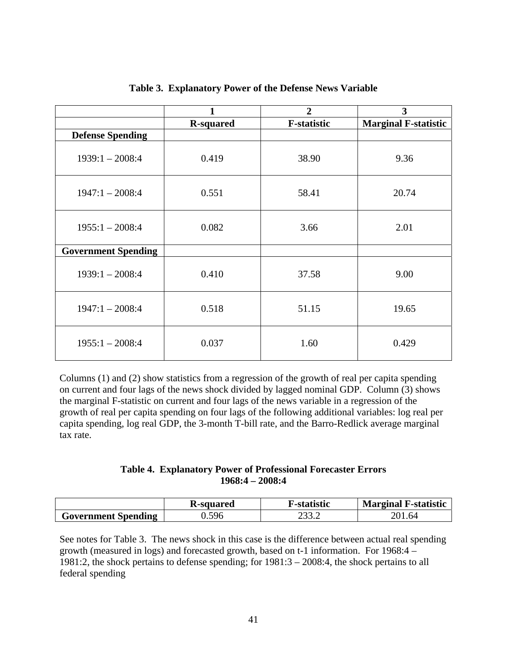|                            | 1                | $\overline{2}$     | 3                           |
|----------------------------|------------------|--------------------|-----------------------------|
|                            | <b>R-squared</b> | <b>F-statistic</b> | <b>Marginal F-statistic</b> |
| <b>Defense Spending</b>    |                  |                    |                             |
| $1939:1 - 2008:4$          | 0.419            | 38.90              | 9.36                        |
| $1947:1 - 2008:4$          | 0.551            | 58.41              | 20.74                       |
| $1955:1 - 2008:4$          | 0.082            | 3.66               | 2.01                        |
| <b>Government Spending</b> |                  |                    |                             |
| $1939:1 - 2008:4$          | 0.410            | 37.58              | 9.00                        |
| $1947:1 - 2008:4$          | 0.518            | 51.15              | 19.65                       |
| $1955:1 - 2008:4$          | 0.037            | 1.60               | 0.429                       |

**Table 3. Explanatory Power of the Defense News Variable** 

Columns (1) and (2) show statistics from a regression of the growth of real per capita spending on current and four lags of the news shock divided by lagged nominal GDP. Column (3) shows the marginal F-statistic on current and four lags of the news variable in a regression of the growth of real per capita spending on four lags of the following additional variables: log real per capita spending, log real GDP, the 3-month T-bill rate, and the Barro-Redlick average marginal tax rate.

# **Table 4. Explanatory Power of Professional Forecaster Errors 1968:4 – 2008:4**

|                            | <b>K-squared</b> | F-statistic   | <b>Marginal F-statistic</b> |
|----------------------------|------------------|---------------|-----------------------------|
| <b>Government Spending</b> | 596              | י ררח<br>ے. ت | 04                          |

See notes for Table 3. The news shock in this case is the difference between actual real spending growth (measured in logs) and forecasted growth, based on t-1 information. For 1968:4 – 1981:2, the shock pertains to defense spending; for 1981:3 – 2008:4, the shock pertains to all federal spending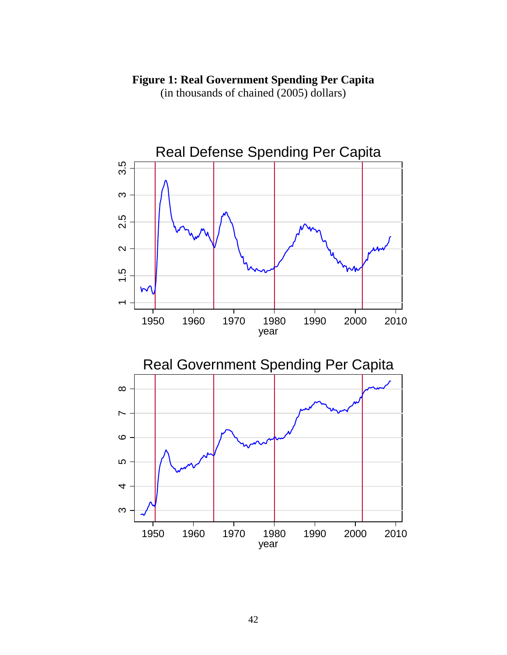# **Figure 1: Real Government Spending Per Capita**

(in thousands of chained (2005) dollars)

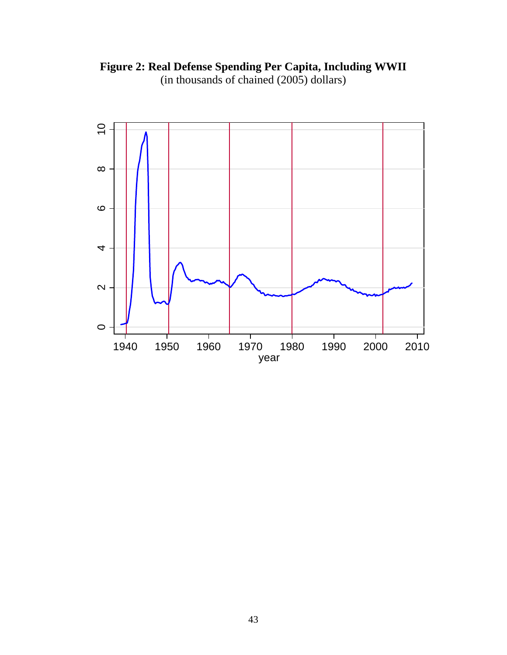

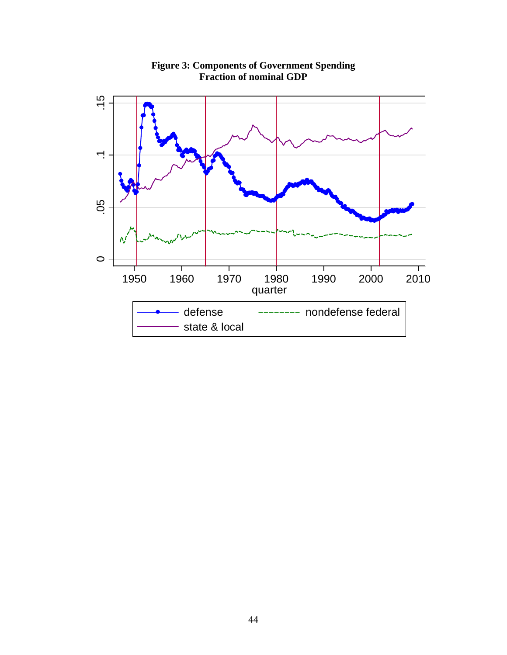

**Figure 3: Components of Government Spending Fraction of nominal GDP**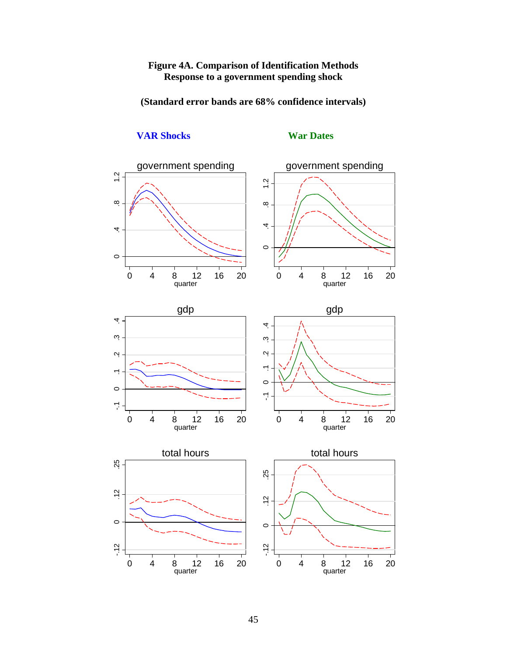# **Figure 4A. Comparison of Identification Methods Response to a government spending shock**

**(Standard error bands are 68% confidence intervals)** 



# **VAR Shocks** War Dates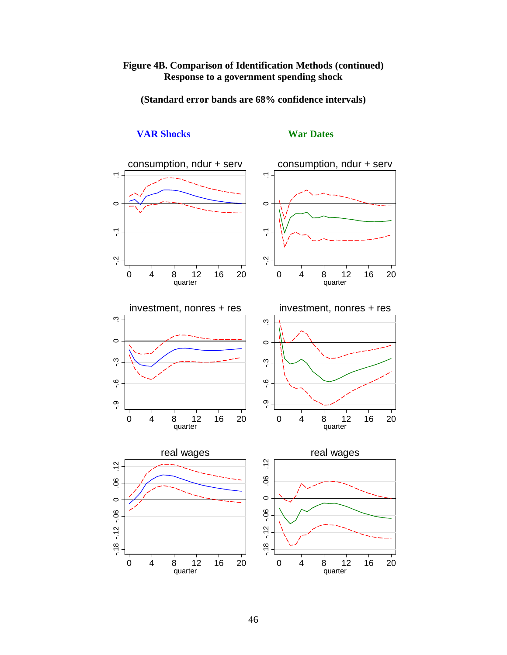# **Figure 4B. Comparison of Identification Methods (continued) Response to a government spending shock**

**(Standard error bands are 68% confidence intervals)** 



# **VAR Shocks War Dates**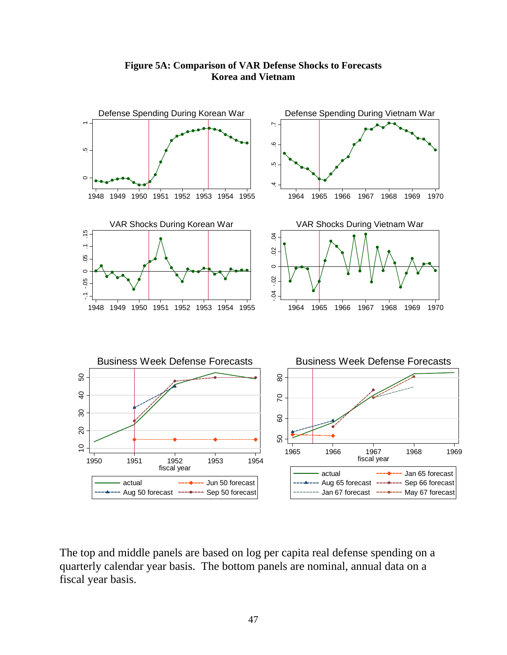

**Figure 5A: Comparison of VAR Defense Shocks to Forecasts Korea and Vietnam** 

The top and middle panels are based on log per capita real defense spending on a quarterly calendar year basis. The bottom panels are nominal, annual data on a fiscal year basis.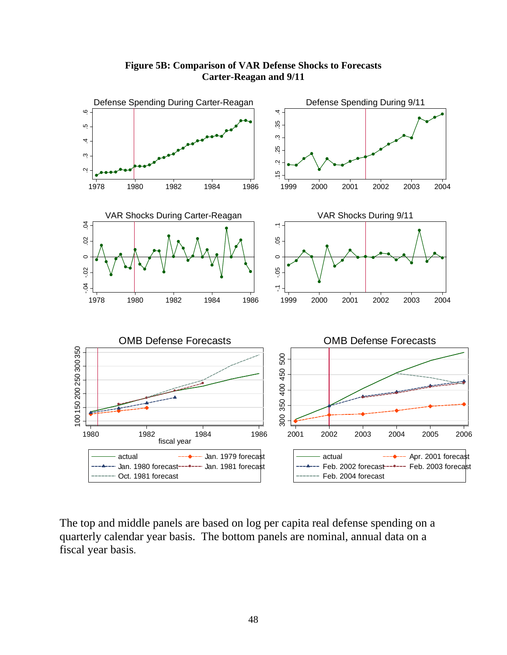

**Figure 5B: Comparison of VAR Defense Shocks to Forecasts Carter-Reagan and 9/11** 

The top and middle panels are based on log per capita real defense spending on a quarterly calendar year basis. The bottom panels are nominal, annual data on a fiscal year basis.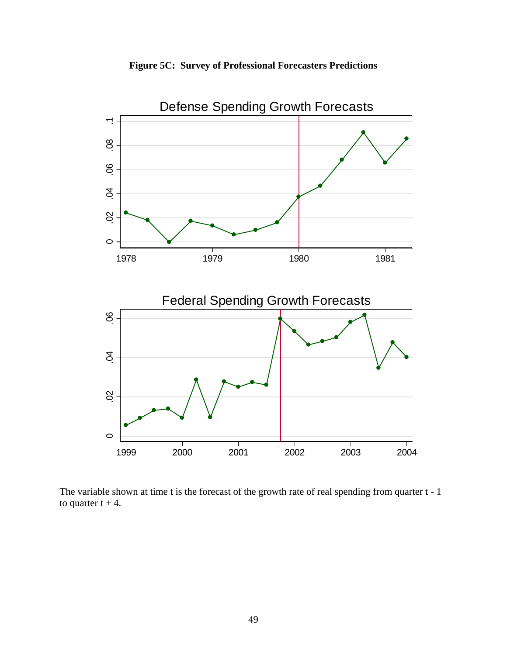



The variable shown at time t is the forecast of the growth rate of real spending from quarter t - 1 to quarter  $t + 4$ .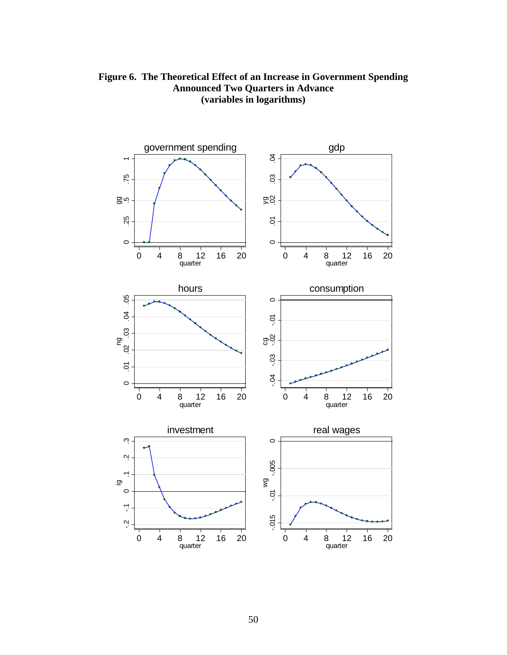

**Figure 6. The Theoretical Effect of an Increase in Government Spending Announced Two Quarters in Advance (variables in logarithms)**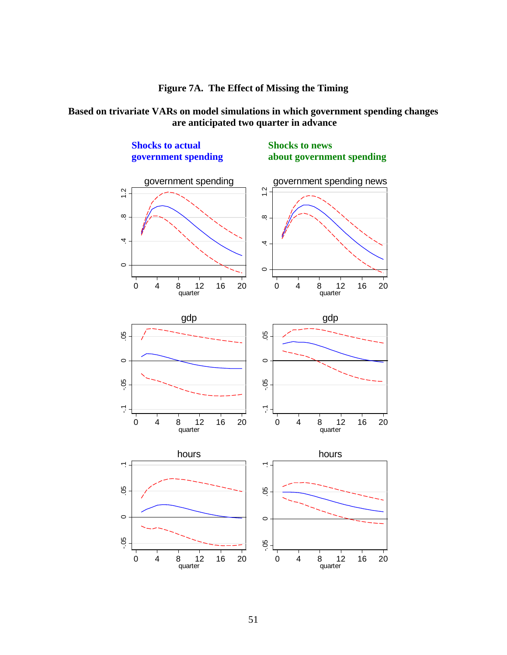

# **Based on trivariate VARs on model simulations in which government spending changes are anticipated two quarter in advance**

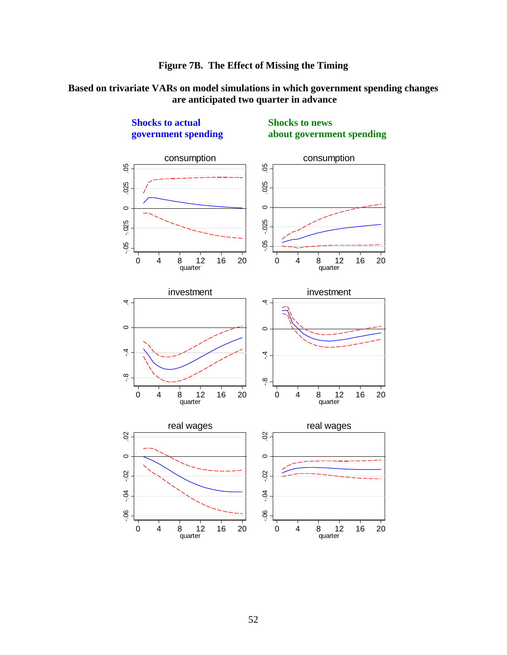

# **Based on trivariate VARs on model simulations in which government spending changes are anticipated two quarter in advance**



**Shocks to actual Shocks to news** 

 **government spending about government spending**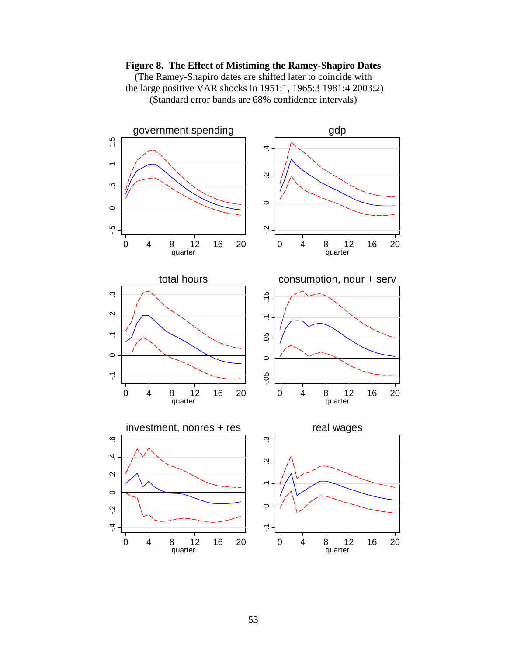

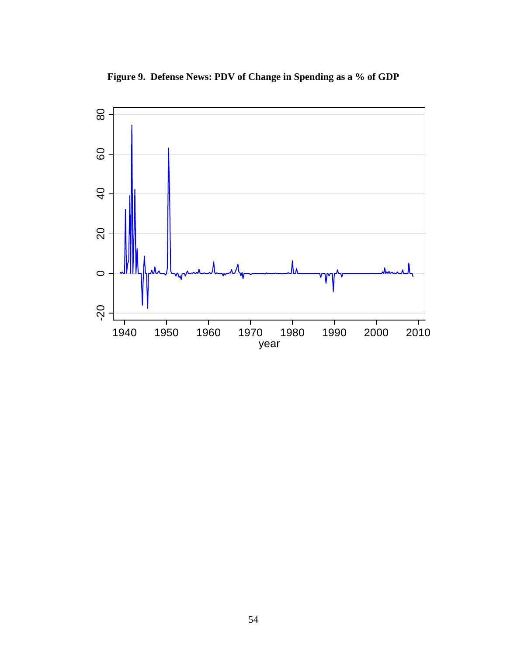

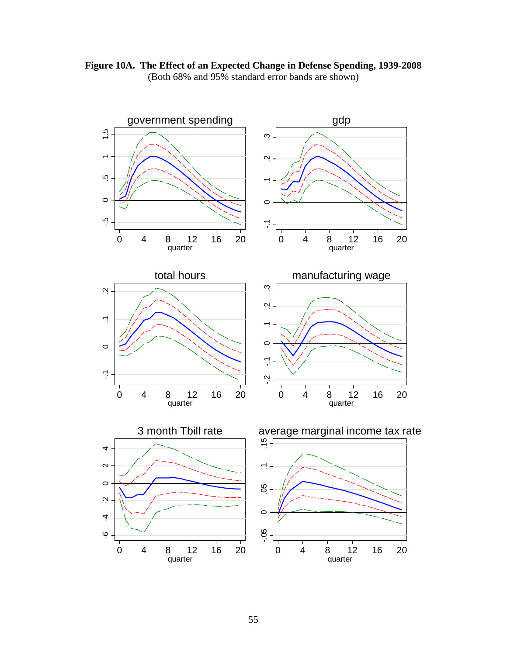

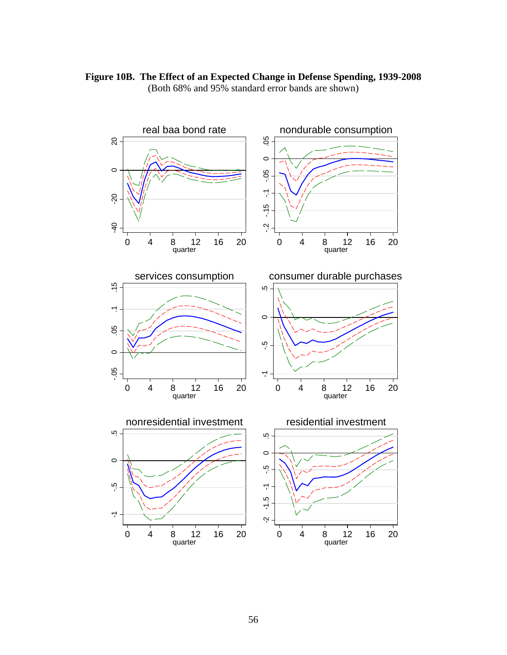

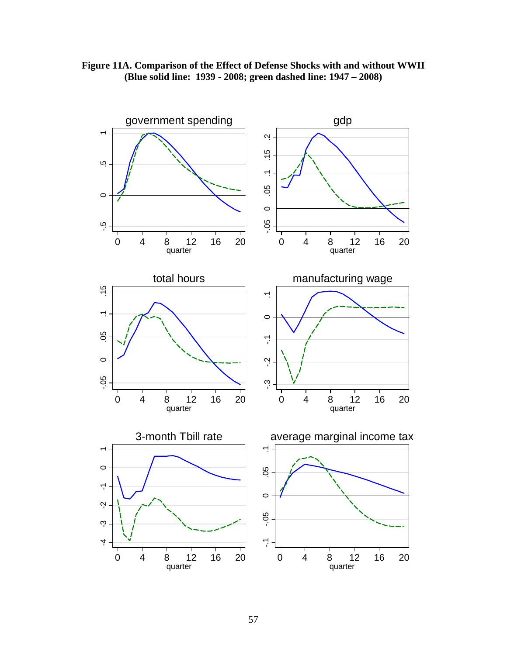

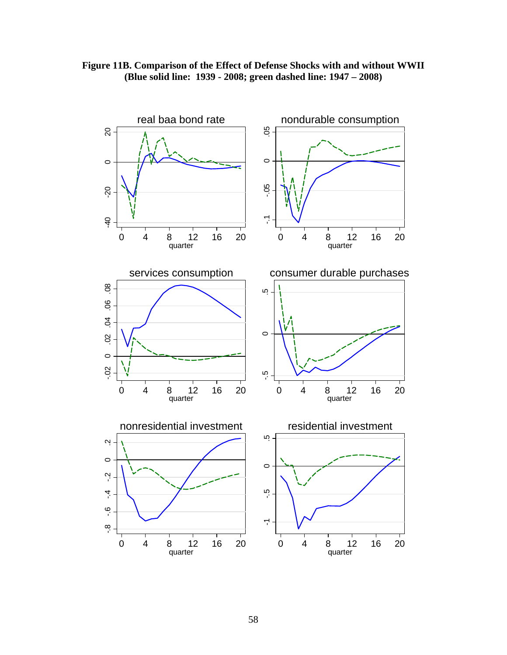

# **Figure 11B. Comparison of the Effect of Defense Shocks with and without WWII (Blue solid line: 1939 - 2008; green dashed line: 1947 – 2008)**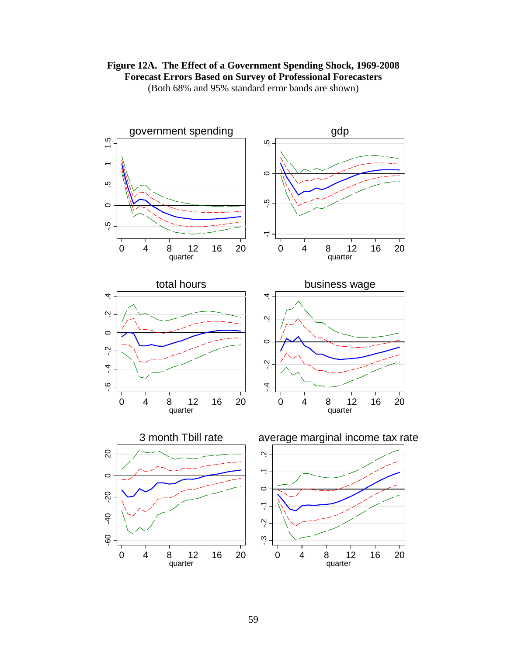



(Both 68% and 95% standard error bands are shown)



 $-40$ 

9